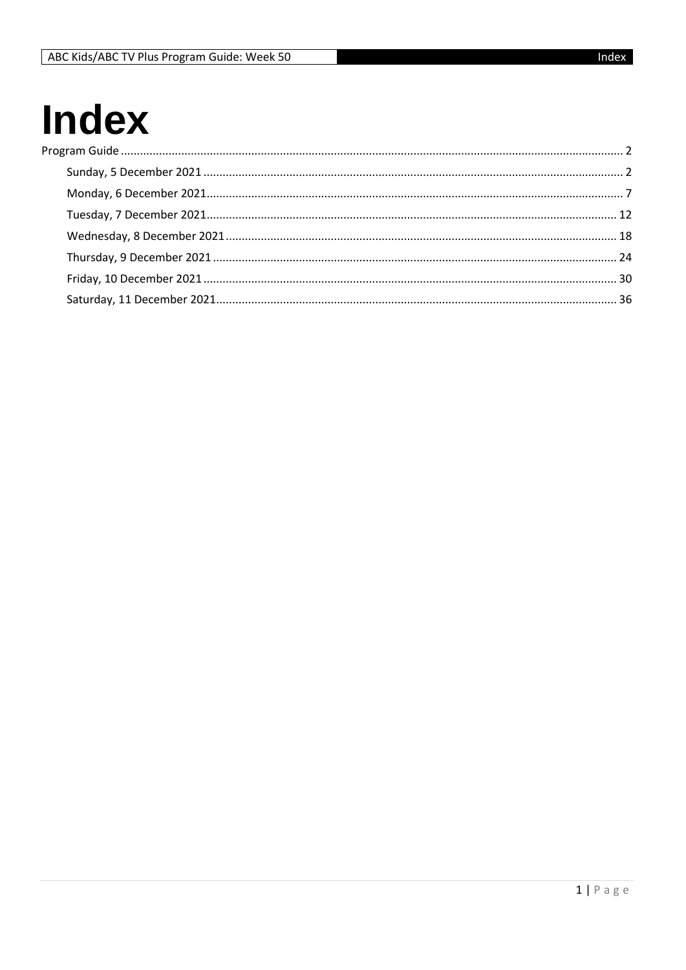## **Index** Pro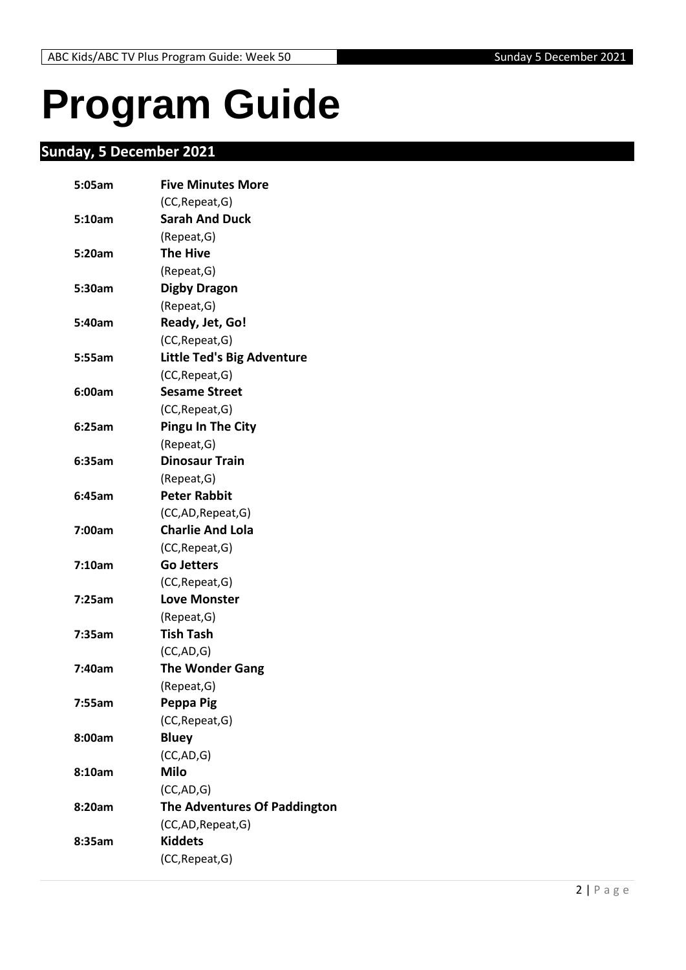# <span id="page-1-0"></span>**Program Guide**

## <span id="page-1-1"></span>**Sunday, 5 December 2021**

| 5:05am | <b>Five Minutes More</b>            |
|--------|-------------------------------------|
|        | (CC, Repeat, G)                     |
| 5:10am | <b>Sarah And Duck</b>               |
|        | (Repeat, G)                         |
| 5:20am | <b>The Hive</b>                     |
|        | (Repeat, G)                         |
| 5:30am | <b>Digby Dragon</b>                 |
|        | (Repeat, G)                         |
| 5:40am | Ready, Jet, Go!                     |
|        | (CC, Repeat, G)                     |
| 5:55am | <b>Little Ted's Big Adventure</b>   |
|        | (CC, Repeat, G)                     |
| 6:00am | <b>Sesame Street</b>                |
|        | (CC, Repeat, G)                     |
| 6:25am | <b>Pingu In The City</b>            |
|        | (Repeat, G)                         |
| 6:35am | <b>Dinosaur Train</b>               |
|        | (Repeat, G)                         |
| 6:45am | <b>Peter Rabbit</b>                 |
|        | (CC,AD, Repeat, G)                  |
| 7:00am | <b>Charlie And Lola</b>             |
|        | (CC, Repeat, G)                     |
| 7:10am | <b>Go Jetters</b>                   |
|        | (CC, Repeat, G)                     |
| 7:25am | <b>Love Monster</b>                 |
|        | (Repeat, G)                         |
| 7:35am | <b>Tish Tash</b>                    |
|        | (CC, AD, G)                         |
| 7:40am | <b>The Wonder Gang</b>              |
|        | (Repeat, G)                         |
| 7:55am | Peppa Pig                           |
|        | (CC, Repeat, G)                     |
| 8:00am | <b>Bluey</b>                        |
|        | (CC,AD,G)                           |
| 8:10am | <b>Milo</b>                         |
|        | (CC, AD, G)                         |
| 8:20am | <b>The Adventures Of Paddington</b> |
|        | (CC,AD, Repeat, G)                  |
| 8:35am | <b>Kiddets</b>                      |
|        | (CC, Repeat, G)                     |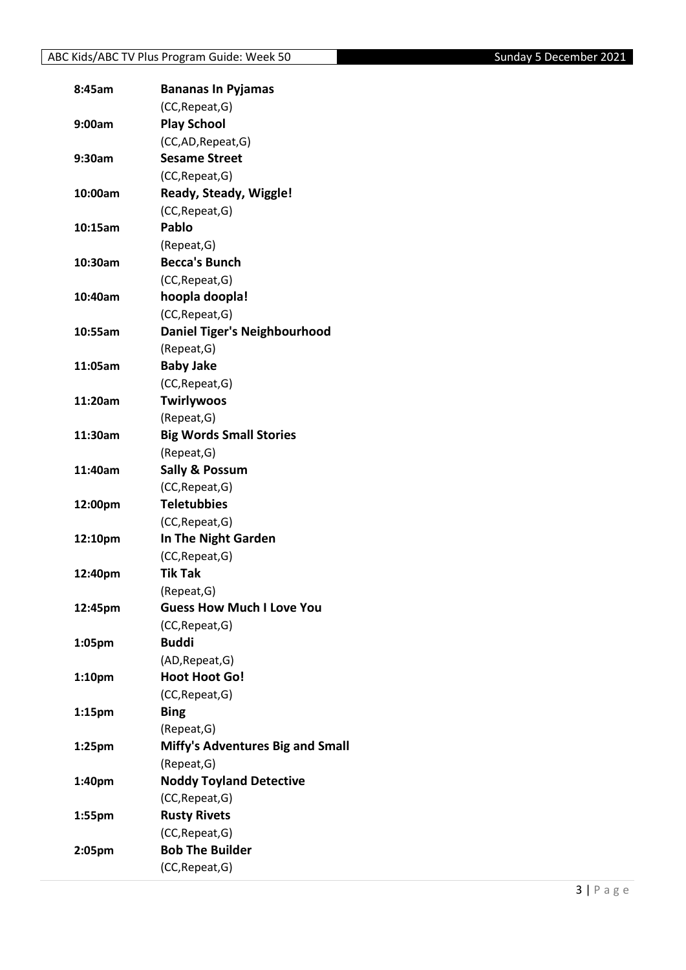| 8:45am             | <b>Bananas In Pyjamas</b>               |
|--------------------|-----------------------------------------|
|                    | (CC, Repeat, G)                         |
| 9:00am             | <b>Play School</b>                      |
|                    | (CC,AD, Repeat, G)                      |
| 9:30am             | <b>Sesame Street</b>                    |
|                    | (CC, Repeat, G)                         |
| 10:00am            | Ready, Steady, Wiggle!                  |
|                    | (CC, Repeat, G)                         |
| 10:15am            | <b>Pablo</b>                            |
|                    | (Repeat, G)                             |
| 10:30am            | <b>Becca's Bunch</b>                    |
|                    | (CC, Repeat, G)                         |
| 10:40am            | hoopla doopla!                          |
|                    | (CC, Repeat, G)                         |
| 10:55am            | <b>Daniel Tiger's Neighbourhood</b>     |
|                    | (Repeat, G)                             |
| 11:05am            | <b>Baby Jake</b>                        |
|                    | (CC, Repeat, G)                         |
| 11:20am            | <b>Twirlywoos</b>                       |
|                    | (Repeat, G)                             |
| 11:30am            | <b>Big Words Small Stories</b>          |
|                    | (Repeat, G)                             |
| 11:40am            | <b>Sally &amp; Possum</b>               |
|                    | (CC, Repeat, G)                         |
| 12:00pm            | <b>Teletubbies</b>                      |
|                    | (CC, Repeat, G)                         |
| 12:10pm            | In The Night Garden                     |
|                    | (CC, Repeat, G)                         |
| 12:40pm            | <b>Tik Tak</b>                          |
|                    | (Repeat, G)                             |
| 12:45pm            | <b>Guess How Much I Love You</b>        |
|                    | (CC, Repeat, G)                         |
| 1:05pm             | <b>Buddi</b>                            |
|                    | (AD, Repeat, G)                         |
| 1:10 <sub>pm</sub> | <b>Hoot Hoot Go!</b>                    |
|                    | (CC, Repeat, G)                         |
| 1:15pm             | <b>Bing</b>                             |
|                    | (Repeat, G)                             |
| 1:25pm             | <b>Miffy's Adventures Big and Small</b> |
|                    | (Repeat, G)                             |
| 1:40pm             | <b>Noddy Toyland Detective</b>          |
|                    | (CC, Repeat, G)                         |
| 1:55pm             | <b>Rusty Rivets</b>                     |
|                    | (CC, Repeat, G)                         |
| 2:05pm             | <b>Bob The Builder</b>                  |
|                    | (CC, Repeat, G)                         |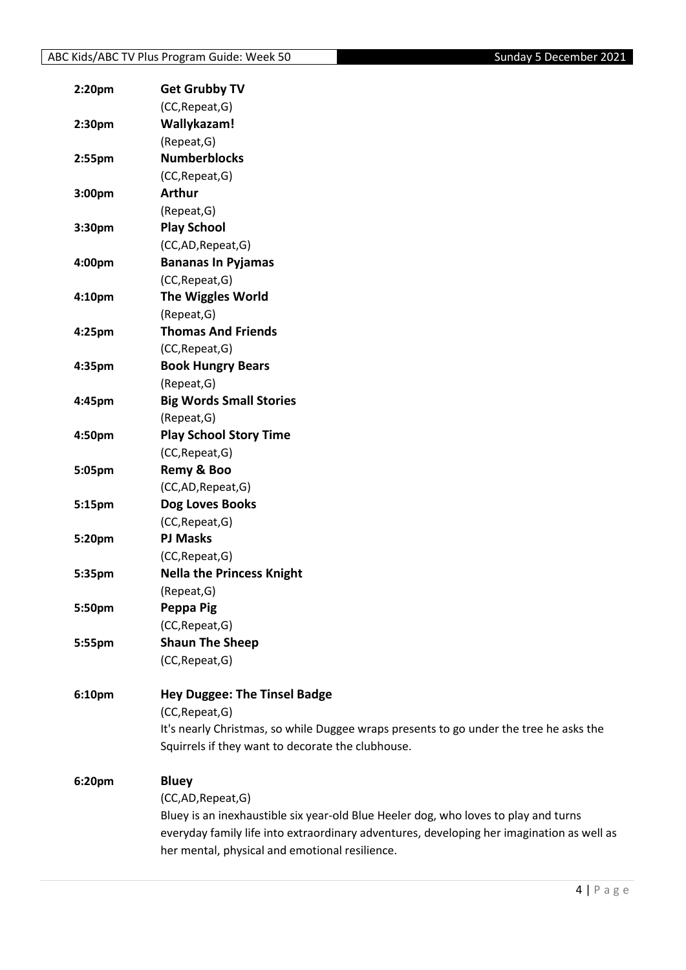| 2:20pm | <b>Get Grubby TV</b>                                                                      |
|--------|-------------------------------------------------------------------------------------------|
|        | (CC, Repeat, G)                                                                           |
| 2:30pm | Wallykazam!                                                                               |
|        | (Repeat, G)                                                                               |
| 2:55pm | <b>Numberblocks</b>                                                                       |
|        | (CC, Repeat, G)                                                                           |
| 3:00pm | <b>Arthur</b>                                                                             |
|        | (Repeat, G)                                                                               |
| 3:30pm | <b>Play School</b>                                                                        |
|        | (CC,AD,Repeat,G)                                                                          |
| 4:00pm | <b>Bananas In Pyjamas</b>                                                                 |
|        | (CC, Repeat, G)                                                                           |
| 4:10pm | <b>The Wiggles World</b>                                                                  |
|        | (Repeat, G)                                                                               |
| 4:25pm | <b>Thomas And Friends</b>                                                                 |
|        | (CC, Repeat, G)                                                                           |
| 4:35pm | <b>Book Hungry Bears</b>                                                                  |
|        | (Repeat, G)                                                                               |
| 4:45pm | <b>Big Words Small Stories</b>                                                            |
|        | (Repeat, G)                                                                               |
| 4:50pm | <b>Play School Story Time</b>                                                             |
|        | (CC, Repeat, G)                                                                           |
| 5:05pm | Remy & Boo                                                                                |
|        | (CC,AD,Repeat,G)                                                                          |
| 5:15pm | Dog Loves Books                                                                           |
|        | (CC, Repeat, G)                                                                           |
| 5:20pm | <b>PJ Masks</b>                                                                           |
|        | (CC, Repeat, G)                                                                           |
| 5:35pm | <b>Nella the Princess Knight</b>                                                          |
|        | (Repeat, G)                                                                               |
| 5:50pm | Peppa Pig                                                                                 |
|        | (CC, Repeat, G)                                                                           |
| 5:55pm | <b>Shaun The Sheep</b>                                                                    |
|        | (CC, Repeat, G)                                                                           |
| 6:10pm | <b>Hey Duggee: The Tinsel Badge</b>                                                       |
|        | (CC, Repeat, G)                                                                           |
|        | It's nearly Christmas, so while Duggee wraps presents to go under the tree he asks the    |
|        | Squirrels if they want to decorate the clubhouse.                                         |
| 6:20pm | <b>Bluey</b>                                                                              |
|        | (CC,AD,Repeat,G)                                                                          |
|        | Bluey is an inexhaustible six year-old Blue Heeler dog, who loves to play and turns       |
|        | everyday family life into extraordinary adventures, developing her imagination as well as |
|        | her mental, physical and emotional resilience.                                            |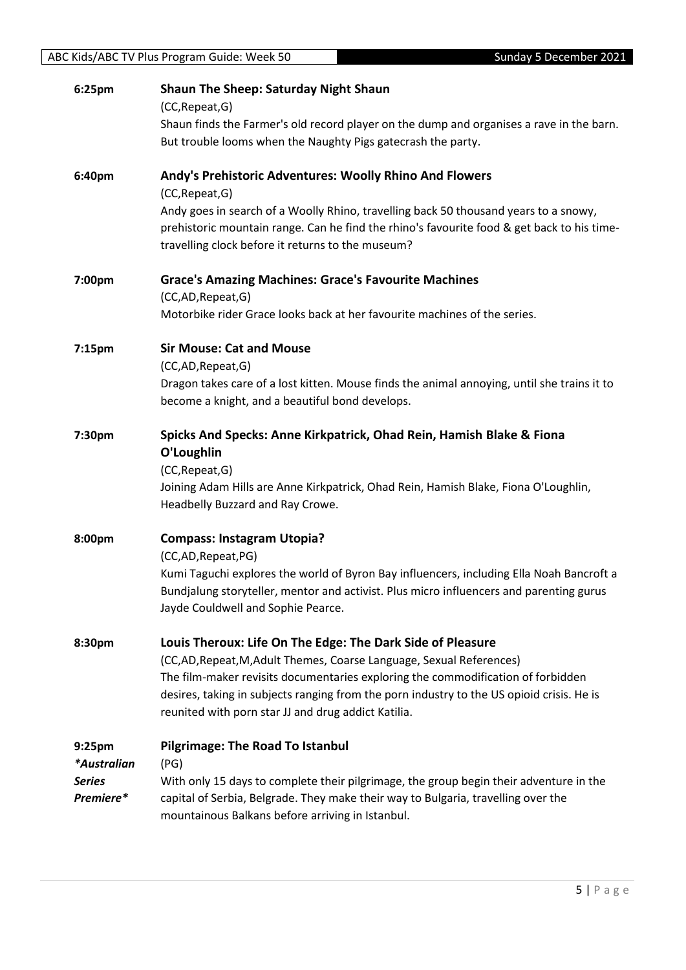| 6:25pm                                    | <b>Shaun The Sheep: Saturday Night Shaun</b><br>(CC, Repeat, G)                                                                                                                                                                                                                                              |
|-------------------------------------------|--------------------------------------------------------------------------------------------------------------------------------------------------------------------------------------------------------------------------------------------------------------------------------------------------------------|
|                                           | Shaun finds the Farmer's old record player on the dump and organises a rave in the barn.<br>But trouble looms when the Naughty Pigs gatecrash the party.                                                                                                                                                     |
| 6:40pm                                    | Andy's Prehistoric Adventures: Woolly Rhino And Flowers<br>(CC, Repeat, G)                                                                                                                                                                                                                                   |
|                                           | Andy goes in search of a Woolly Rhino, travelling back 50 thousand years to a snowy,<br>prehistoric mountain range. Can he find the rhino's favourite food & get back to his time-<br>travelling clock before it returns to the museum?                                                                      |
| 7:00pm                                    | <b>Grace's Amazing Machines: Grace's Favourite Machines</b><br>(CC,AD, Repeat, G)                                                                                                                                                                                                                            |
|                                           | Motorbike rider Grace looks back at her favourite machines of the series.                                                                                                                                                                                                                                    |
| 7:15pm                                    | <b>Sir Mouse: Cat and Mouse</b>                                                                                                                                                                                                                                                                              |
|                                           | (CC,AD,Repeat,G)<br>Dragon takes care of a lost kitten. Mouse finds the animal annoying, until she trains it to                                                                                                                                                                                              |
|                                           | become a knight, and a beautiful bond develops.                                                                                                                                                                                                                                                              |
| 7:30pm                                    | Spicks And Specks: Anne Kirkpatrick, Ohad Rein, Hamish Blake & Fiona<br>O'Loughlin<br>(CC, Repeat, G)                                                                                                                                                                                                        |
|                                           | Joining Adam Hills are Anne Kirkpatrick, Ohad Rein, Hamish Blake, Fiona O'Loughlin,                                                                                                                                                                                                                          |
|                                           | Headbelly Buzzard and Ray Crowe.                                                                                                                                                                                                                                                                             |
| 8:00pm                                    | <b>Compass: Instagram Utopia?</b><br>(CC,AD,Repeat,PG)                                                                                                                                                                                                                                                       |
|                                           | Kumi Taguchi explores the world of Byron Bay influencers, including Ella Noah Bancroft a<br>Bundjalung storyteller, mentor and activist. Plus micro influencers and parenting gurus<br>Jayde Couldwell and Sophie Pearce.                                                                                    |
| 8:30pm                                    | Louis Theroux: Life On The Edge: The Dark Side of Pleasure                                                                                                                                                                                                                                                   |
|                                           | (CC,AD, Repeat, M, Adult Themes, Coarse Language, Sexual References)<br>The film-maker revisits documentaries exploring the commodification of forbidden<br>desires, taking in subjects ranging from the porn industry to the US opioid crisis. He is<br>reunited with porn star JJ and drug addict Katilia. |
| 9:25pm                                    | <b>Pilgrimage: The Road To Istanbul</b>                                                                                                                                                                                                                                                                      |
| *Australian<br><b>Series</b><br>Premiere* | (PG)<br>With only 15 days to complete their pilgrimage, the group begin their adventure in the<br>capital of Serbia, Belgrade. They make their way to Bulgaria, travelling over the<br>mountainous Balkans before arriving in Istanbul.                                                                      |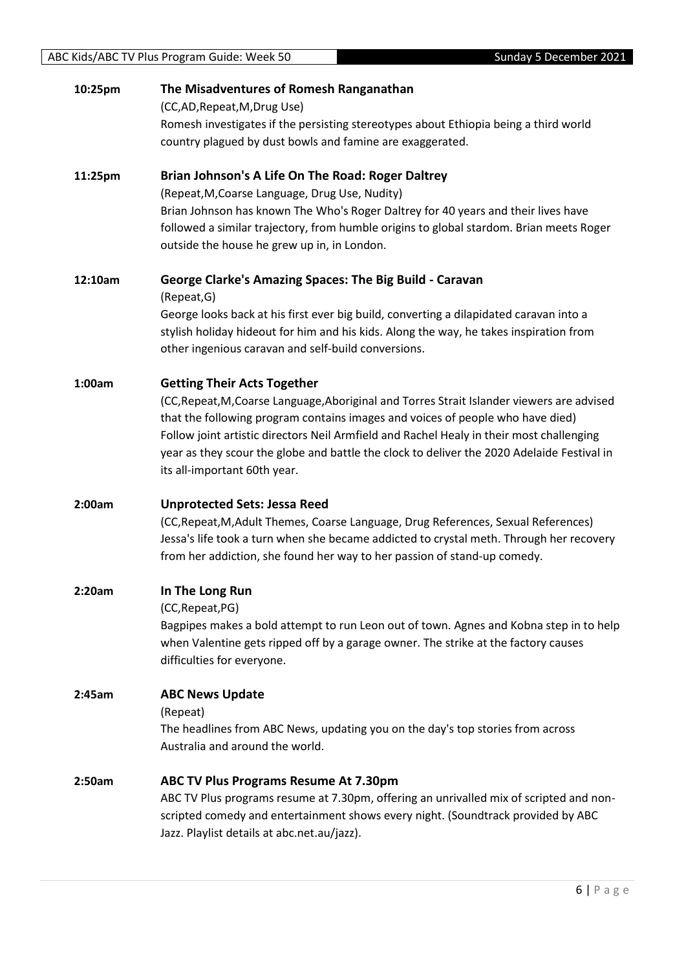| 10:25pm | The Misadventures of Romesh Ranganathan<br>(CC,AD, Repeat, M, Drug Use)<br>Romesh investigates if the persisting stereotypes about Ethiopia being a third world<br>country plagued by dust bowls and famine are exaggerated.                                                                                                                                                                                                                 |
|---------|----------------------------------------------------------------------------------------------------------------------------------------------------------------------------------------------------------------------------------------------------------------------------------------------------------------------------------------------------------------------------------------------------------------------------------------------|
| 11:25pm | Brian Johnson's A Life On The Road: Roger Daltrey<br>(Repeat, M, Coarse Language, Drug Use, Nudity)<br>Brian Johnson has known The Who's Roger Daltrey for 40 years and their lives have<br>followed a similar trajectory, from humble origins to global stardom. Brian meets Roger<br>outside the house he grew up in, in London.                                                                                                           |
| 12:10am | <b>George Clarke's Amazing Spaces: The Big Build - Caravan</b><br>(Repeat, G)<br>George looks back at his first ever big build, converting a dilapidated caravan into a<br>stylish holiday hideout for him and his kids. Along the way, he takes inspiration from<br>other ingenious caravan and self-build conversions.                                                                                                                     |
| 1:00am  | <b>Getting Their Acts Together</b><br>(CC, Repeat, M, Coarse Language, Aboriginal and Torres Strait Islander viewers are advised<br>that the following program contains images and voices of people who have died)<br>Follow joint artistic directors Neil Armfield and Rachel Healy in their most challenging<br>year as they scour the globe and battle the clock to deliver the 2020 Adelaide Festival in<br>its all-important 60th year. |
| 2:00am  | <b>Unprotected Sets: Jessa Reed</b><br>(CC, Repeat, M, Adult Themes, Coarse Language, Drug References, Sexual References)<br>Jessa's life took a turn when she became addicted to crystal meth. Through her recovery<br>from her addiction, she found her way to her passion of stand-up comedy.                                                                                                                                             |
| 2:20am  | In The Long Run<br>(CC, Repeat, PG)<br>Bagpipes makes a bold attempt to run Leon out of town. Agnes and Kobna step in to help<br>when Valentine gets ripped off by a garage owner. The strike at the factory causes<br>difficulties for everyone.                                                                                                                                                                                            |
| 2:45am  | <b>ABC News Update</b><br>(Repeat)<br>The headlines from ABC News, updating you on the day's top stories from across<br>Australia and around the world.                                                                                                                                                                                                                                                                                      |
| 2:50am  | <b>ABC TV Plus Programs Resume At 7.30pm</b><br>ABC TV Plus programs resume at 7.30pm, offering an unrivalled mix of scripted and non-<br>scripted comedy and entertainment shows every night. (Soundtrack provided by ABC<br>Jazz. Playlist details at abc.net.au/jazz).                                                                                                                                                                    |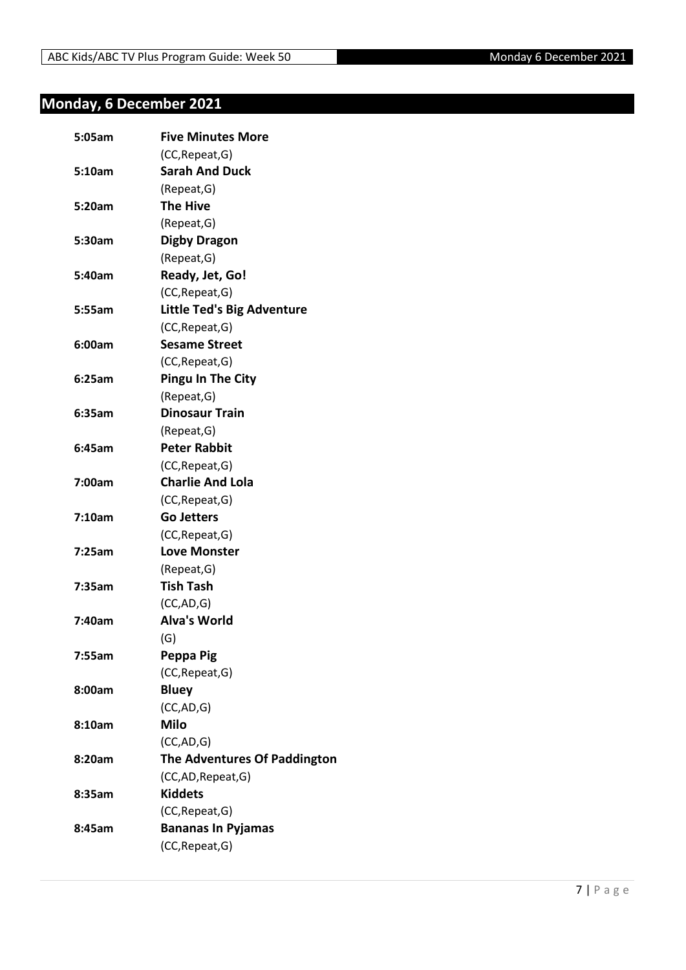## <span id="page-6-0"></span>**Monday, 6 December 2021**

| 5:05am | <b>Five Minutes More</b>            |
|--------|-------------------------------------|
|        | (CC, Repeat, G)                     |
| 5:10am | <b>Sarah And Duck</b>               |
|        | (Repeat, G)                         |
| 5:20am | <b>The Hive</b>                     |
|        | (Repeat, G)                         |
| 5:30am | <b>Digby Dragon</b>                 |
|        | (Repeat, G)                         |
| 5:40am | Ready, Jet, Go!                     |
|        | (CC, Repeat, G)                     |
| 5:55am | <b>Little Ted's Big Adventure</b>   |
|        | (CC, Repeat, G)                     |
| 6:00am | <b>Sesame Street</b>                |
|        | (CC, Repeat, G)                     |
| 6:25am | <b>Pingu In The City</b>            |
|        | (Repeat, G)                         |
| 6:35am | <b>Dinosaur Train</b>               |
|        | (Repeat, G)                         |
| 6:45am | <b>Peter Rabbit</b>                 |
|        | (CC, Repeat, G)                     |
| 7:00am | <b>Charlie And Lola</b>             |
|        | (CC, Repeat, G)                     |
| 7:10am | <b>Go Jetters</b>                   |
|        | (CC, Repeat, G)                     |
| 7:25am | <b>Love Monster</b>                 |
|        | (Repeat, G)                         |
| 7:35am | <b>Tish Tash</b>                    |
|        | (CC, AD, G)                         |
| 7:40am | <b>Alva's World</b>                 |
|        | (G)                                 |
| 7:55am | Peppa Pig                           |
|        | (CC, Repeat, G)                     |
| 8:00am | <b>Bluey</b>                        |
|        | (CC,AD,G)                           |
| 8:10am | <b>Milo</b>                         |
|        | (CC, AD, G)                         |
| 8:20am | <b>The Adventures Of Paddington</b> |
|        | (CC,AD,Repeat,G)                    |
| 8:35am | <b>Kiddets</b>                      |
|        | (CC, Repeat, G)                     |
| 8:45am | <b>Bananas In Pyjamas</b>           |
|        | (CC, Repeat, G)                     |
|        |                                     |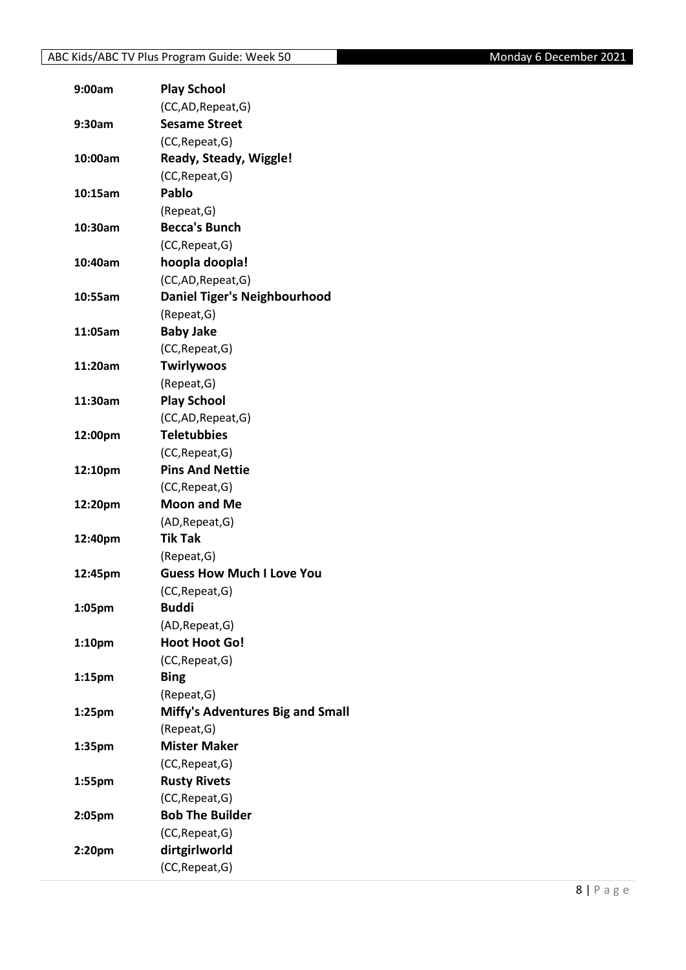| 9:00am             | <b>Play School</b>                  |
|--------------------|-------------------------------------|
|                    | (CC,AD, Repeat, G)                  |
| 9:30am             | <b>Sesame Street</b>                |
|                    | (CC, Repeat, G)                     |
| 10:00am            | Ready, Steady, Wiggle!              |
|                    | (CC, Repeat, G)                     |
| 10:15am            | Pablo                               |
|                    | (Repeat, G)                         |
| 10:30am            | <b>Becca's Bunch</b>                |
|                    | (CC, Repeat, G)                     |
| 10:40am            | hoopla doopla!                      |
|                    | (CC,AD, Repeat, G)                  |
| 10:55am            | <b>Daniel Tiger's Neighbourhood</b> |
|                    | (Repeat, G)                         |
| 11:05am            | <b>Baby Jake</b>                    |
|                    | (CC, Repeat, G)                     |
| 11:20am            | <b>Twirlywoos</b>                   |
|                    | (Repeat, G)                         |
| 11:30am            | <b>Play School</b>                  |
|                    | (CC,AD,Repeat,G)                    |
| 12:00pm            | <b>Teletubbies</b>                  |
|                    | (CC, Repeat, G)                     |
| 12:10pm            | <b>Pins And Nettie</b>              |
|                    | (CC, Repeat, G)                     |
| 12:20pm            | <b>Moon and Me</b>                  |
|                    | (AD, Repeat, G)                     |
| 12:40pm            | <b>Tik Tak</b>                      |
|                    | (Repeat, G)                         |
| 12:45pm            | <b>Guess How Much I Love You</b>    |
|                    | (CC, Repeat, G)                     |
| 1:05pm             | <b>Buddi</b>                        |
|                    | (AD, Repeat, G)                     |
| 1:10 <sub>pm</sub> | <b>Hoot Hoot Go!</b>                |
|                    | (CC, Repeat, G)                     |
| 1:15 <sub>pm</sub> | <b>Bing</b>                         |
|                    | (Repeat, G)                         |
| $1:25$ pm          | Miffy's Adventures Big and Small    |
|                    | (Repeat, G)                         |
| 1:35pm             | <b>Mister Maker</b>                 |
|                    | (CC, Repeat, G)                     |
| 1:55pm             | <b>Rusty Rivets</b>                 |
|                    | (CC, Repeat, G)                     |
| 2:05pm             | <b>Bob The Builder</b>              |
|                    | (CC, Repeat, G)                     |
| 2:20pm             | dirtgirlworld                       |
|                    | (CC, Repeat, G)                     |
|                    |                                     |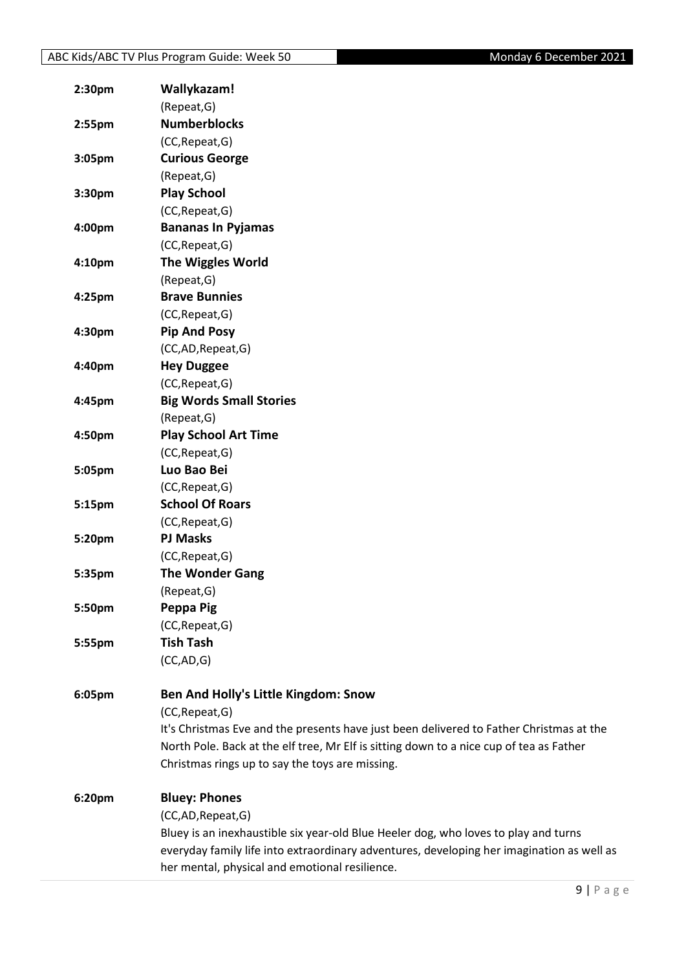| 2:30 <sub>pm</sub> | Wallykazam!                                                                               |
|--------------------|-------------------------------------------------------------------------------------------|
|                    | (Repeat, G)                                                                               |
| 2:55pm             | <b>Numberblocks</b>                                                                       |
|                    | (CC, Repeat, G)                                                                           |
| 3:05pm             | <b>Curious George</b>                                                                     |
|                    | (Repeat, G)                                                                               |
| 3:30pm             | <b>Play School</b>                                                                        |
|                    | (CC, Repeat, G)                                                                           |
| 4:00pm             | <b>Bananas In Pyjamas</b>                                                                 |
|                    | (CC, Repeat, G)                                                                           |
| 4:10 <sub>pm</sub> | <b>The Wiggles World</b>                                                                  |
|                    | (Repeat, G)                                                                               |
| 4:25pm             | <b>Brave Bunnies</b>                                                                      |
|                    | (CC, Repeat, G)                                                                           |
| 4:30pm             | <b>Pip And Posy</b>                                                                       |
|                    | (CC,AD,Repeat,G)                                                                          |
| 4:40pm             | <b>Hey Duggee</b>                                                                         |
|                    | (CC, Repeat, G)                                                                           |
| 4:45pm             | <b>Big Words Small Stories</b>                                                            |
|                    | (Repeat, G)                                                                               |
| 4:50pm             | <b>Play School Art Time</b>                                                               |
|                    | (CC, Repeat, G)                                                                           |
| 5:05pm             | Luo Bao Bei                                                                               |
|                    | (CC, Repeat, G)                                                                           |
| 5:15pm             | <b>School Of Roars</b>                                                                    |
|                    | (CC, Repeat, G)                                                                           |
| 5:20pm             | <b>PJ Masks</b>                                                                           |
|                    | (CC, Repeat, G)                                                                           |
| 5:35pm             | <b>The Wonder Gang</b>                                                                    |
|                    | (Repeat, G)                                                                               |
| 5:50pm             | Peppa Pig                                                                                 |
|                    | (CC, Repeat, G)                                                                           |
| 5:55pm             | <b>Tish Tash</b>                                                                          |
|                    | (CC, AD, G)                                                                               |
|                    |                                                                                           |
| 6:05pm             | Ben And Holly's Little Kingdom: Snow                                                      |
|                    | (CC, Repeat, G)                                                                           |
|                    | It's Christmas Eve and the presents have just been delivered to Father Christmas at the   |
|                    | North Pole. Back at the elf tree, Mr Elf is sitting down to a nice cup of tea as Father   |
|                    | Christmas rings up to say the toys are missing.                                           |
| 6:20pm             | <b>Bluey: Phones</b>                                                                      |
|                    | (CC,AD,Repeat,G)                                                                          |
|                    | Bluey is an inexhaustible six year-old Blue Heeler dog, who loves to play and turns       |
|                    | everyday family life into extraordinary adventures, developing her imagination as well as |
|                    | her mental, physical and emotional resilience.                                            |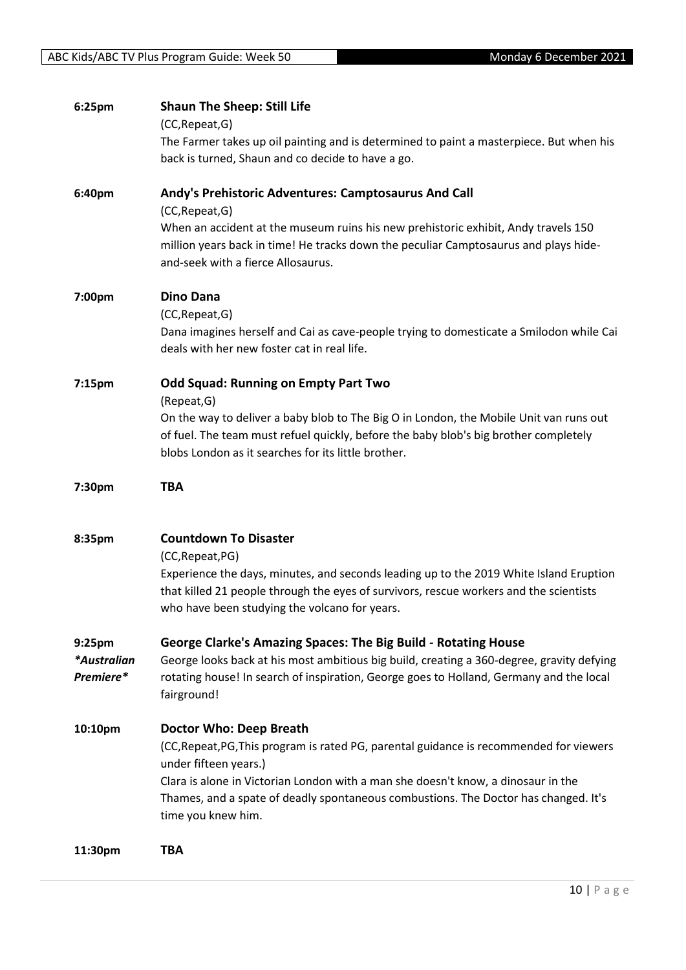| 6:25pm                                         | <b>Shaun The Sheep: Still Life</b><br>(CC, Repeat, G)<br>The Farmer takes up oil painting and is determined to paint a masterpiece. But when his<br>back is turned, Shaun and co decide to have a go.                                                                                                                                         |
|------------------------------------------------|-----------------------------------------------------------------------------------------------------------------------------------------------------------------------------------------------------------------------------------------------------------------------------------------------------------------------------------------------|
| 6:40pm                                         | Andy's Prehistoric Adventures: Camptosaurus And Call<br>(CC, Repeat, G)<br>When an accident at the museum ruins his new prehistoric exhibit, Andy travels 150<br>million years back in time! He tracks down the peculiar Camptosaurus and plays hide-<br>and-seek with a fierce Allosaurus.                                                   |
| 7:00pm                                         | <b>Dino Dana</b><br>(CC, Repeat, G)<br>Dana imagines herself and Cai as cave-people trying to domesticate a Smilodon while Cai<br>deals with her new foster cat in real life.                                                                                                                                                                 |
| 7:15pm                                         | <b>Odd Squad: Running on Empty Part Two</b><br>(Repeat, G)<br>On the way to deliver a baby blob to The Big O in London, the Mobile Unit van runs out<br>of fuel. The team must refuel quickly, before the baby blob's big brother completely<br>blobs London as it searches for its little brother.                                           |
| 7:30pm                                         | TBA                                                                                                                                                                                                                                                                                                                                           |
| 8:35pm                                         | <b>Countdown To Disaster</b><br>(CC, Repeat, PG)<br>Experience the days, minutes, and seconds leading up to the 2019 White Island Eruption<br>that killed 21 people through the eyes of survivors, rescue workers and the scientists<br>who have been studying the volcano for years.                                                         |
| 9:25 <sub>pm</sub><br>*Australian<br>Premiere* | <b>George Clarke's Amazing Spaces: The Big Build - Rotating House</b><br>George looks back at his most ambitious big build, creating a 360-degree, gravity defying<br>rotating house! In search of inspiration, George goes to Holland, Germany and the local<br>fairground!                                                                  |
| 10:10pm                                        | Doctor Who: Deep Breath<br>(CC, Repeat, PG, This program is rated PG, parental guidance is recommended for viewers<br>under fifteen years.)<br>Clara is alone in Victorian London with a man she doesn't know, a dinosaur in the<br>Thames, and a spate of deadly spontaneous combustions. The Doctor has changed. It's<br>time you knew him. |
| 11:30pm                                        | <b>TBA</b>                                                                                                                                                                                                                                                                                                                                    |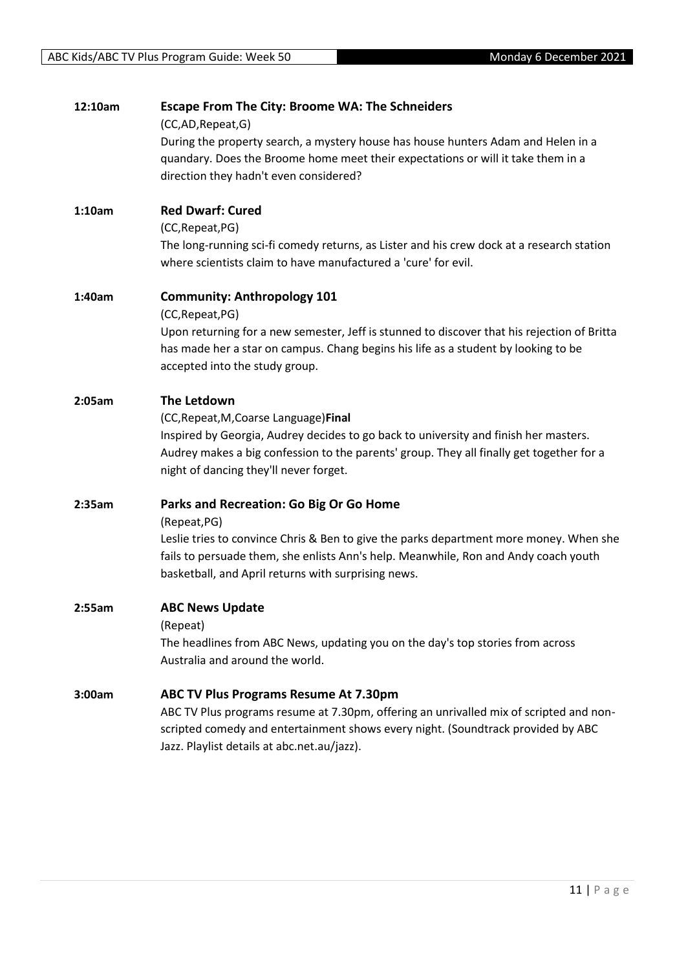| 12:10am | <b>Escape From The City: Broome WA: The Schneiders</b><br>(CC,AD,Repeat,G)<br>During the property search, a mystery house has house hunters Adam and Helen in a<br>quandary. Does the Broome home meet their expectations or will it take them in a<br>direction they hadn't even considered?   |
|---------|-------------------------------------------------------------------------------------------------------------------------------------------------------------------------------------------------------------------------------------------------------------------------------------------------|
| 1:10am  | <b>Red Dwarf: Cured</b><br>(CC, Repeat, PG)<br>The long-running sci-fi comedy returns, as Lister and his crew dock at a research station<br>where scientists claim to have manufactured a 'cure' for evil.                                                                                      |
| 1:40am  | <b>Community: Anthropology 101</b><br>(CC, Repeat, PG)<br>Upon returning for a new semester, Jeff is stunned to discover that his rejection of Britta<br>has made her a star on campus. Chang begins his life as a student by looking to be<br>accepted into the study group.                   |
| 2:05am  | The Letdown<br>(CC, Repeat, M, Coarse Language) Final<br>Inspired by Georgia, Audrey decides to go back to university and finish her masters.<br>Audrey makes a big confession to the parents' group. They all finally get together for a<br>night of dancing they'll never forget.             |
| 2:35am  | Parks and Recreation: Go Big Or Go Home<br>(Repeat, PG)<br>Leslie tries to convince Chris & Ben to give the parks department more money. When she<br>fails to persuade them, she enlists Ann's help. Meanwhile, Ron and Andy coach youth<br>basketball, and April returns with surprising news. |
| 2:55am  | <b>ABC News Update</b><br>(Repeat)<br>The headlines from ABC News, updating you on the day's top stories from across<br>Australia and around the world.                                                                                                                                         |
| 3:00am  | <b>ABC TV Plus Programs Resume At 7.30pm</b><br>ABC TV Plus programs resume at 7.30pm, offering an unrivalled mix of scripted and non-<br>scripted comedy and entertainment shows every night. (Soundtrack provided by ABC<br>Jazz. Playlist details at abc.net.au/jazz).                       |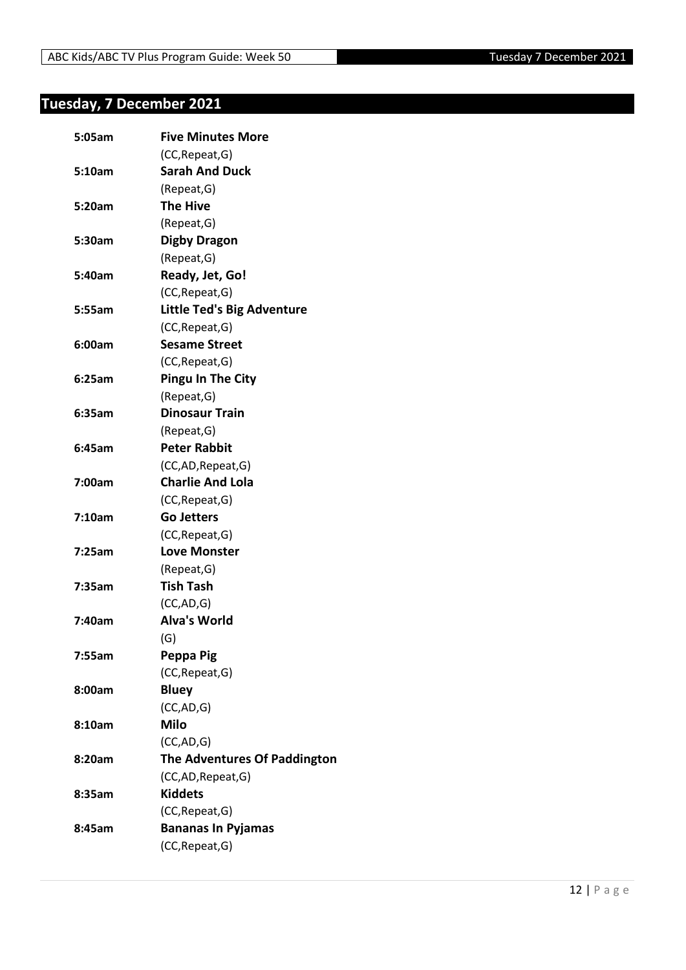## <span id="page-11-0"></span>**Tuesday, 7 December 2021**

| 5:05am | <b>Five Minutes More</b>          |
|--------|-----------------------------------|
|        | (CC, Repeat, G)                   |
| 5:10am | <b>Sarah And Duck</b>             |
|        | (Repeat, G)                       |
| 5:20am | <b>The Hive</b>                   |
|        | (Repeat, G)                       |
| 5:30am | <b>Digby Dragon</b>               |
|        | (Repeat, G)                       |
| 5:40am | Ready, Jet, Go!                   |
|        | (CC, Repeat, G)                   |
| 5:55am | <b>Little Ted's Big Adventure</b> |
|        | (CC, Repeat, G)                   |
| 6:00am | <b>Sesame Street</b>              |
|        | (CC, Repeat, G)                   |
| 6:25am | <b>Pingu In The City</b>          |
|        | (Repeat, G)                       |
| 6:35am | <b>Dinosaur Train</b>             |
|        | (Repeat, G)                       |
| 6:45am | <b>Peter Rabbit</b>               |
|        | (CC,AD, Repeat, G)                |
| 7:00am | <b>Charlie And Lola</b>           |
|        | (CC, Repeat, G)                   |
| 7:10am | <b>Go Jetters</b>                 |
|        | (CC, Repeat, G)                   |
| 7:25am | <b>Love Monster</b>               |
|        | (Repeat, G)                       |
| 7:35am | <b>Tish Tash</b>                  |
|        | (CC, AD, G)                       |
| 7:40am | <b>Alva's World</b>               |
|        | (G)                               |
| 7:55am | Peppa Pig                         |
|        | (CC, Repeat, G)                   |
| 8:00am | <b>Bluey</b>                      |
|        | (CC,AD,G)                         |
| 8:10am | <b>Milo</b>                       |
|        | (CC, AD, G)                       |
| 8:20am | The Adventures Of Paddington      |
|        | (CC,AD,Repeat,G)                  |
| 8:35am | <b>Kiddets</b>                    |
|        | (CC, Repeat, G)                   |
| 8:45am | <b>Bananas In Pyjamas</b>         |
|        | (CC, Repeat, G)                   |
|        |                                   |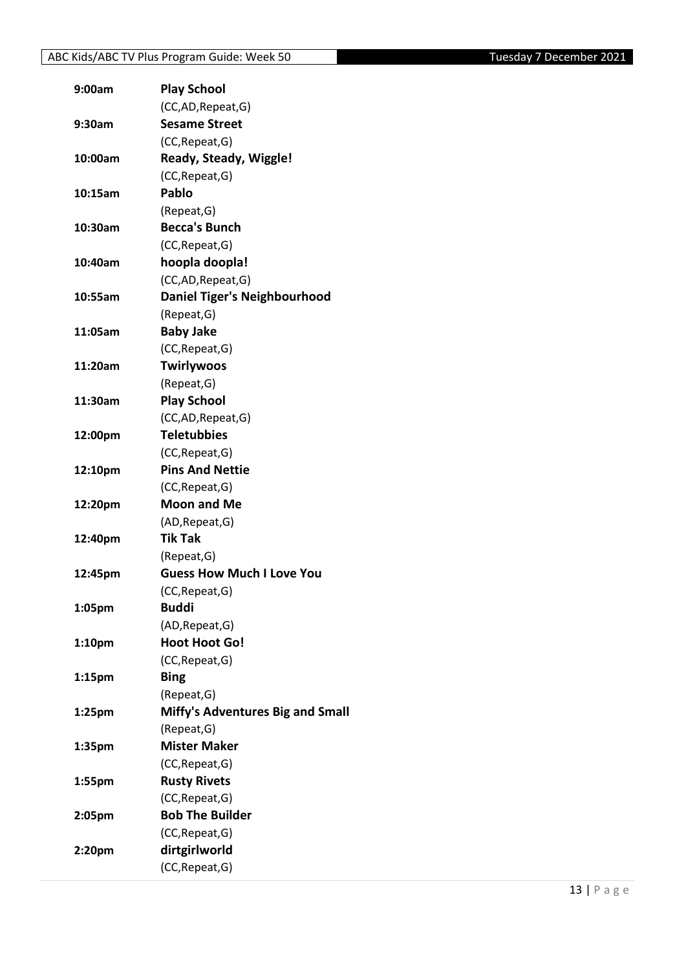| 9:00am             | <b>Play School</b>                  |
|--------------------|-------------------------------------|
|                    | (CC,AD, Repeat, G)                  |
| 9:30am             | <b>Sesame Street</b>                |
|                    | (CC, Repeat, G)                     |
| 10:00am            | Ready, Steady, Wiggle!              |
|                    | (CC, Repeat, G)                     |
| 10:15am            | <b>Pablo</b>                        |
|                    | (Repeat, G)                         |
| 10:30am            | <b>Becca's Bunch</b>                |
|                    | (CC, Repeat, G)                     |
| 10:40am            | hoopla doopla!                      |
|                    | (CC,AD, Repeat, G)                  |
| 10:55am            | <b>Daniel Tiger's Neighbourhood</b> |
|                    | (Repeat, G)                         |
| 11:05am            | <b>Baby Jake</b>                    |
|                    | (CC, Repeat, G)                     |
| 11:20am            | <b>Twirlywoos</b>                   |
|                    | (Repeat, G)                         |
| 11:30am            | <b>Play School</b>                  |
|                    | (CC,AD, Repeat, G)                  |
| 12:00pm            | <b>Teletubbies</b>                  |
|                    | (CC, Repeat, G)                     |
| 12:10pm            | <b>Pins And Nettie</b>              |
|                    | (CC, Repeat, G)                     |
| 12:20pm            | <b>Moon and Me</b>                  |
|                    | (AD, Repeat, G)                     |
| 12:40pm            | <b>Tik Tak</b>                      |
|                    | (Repeat, G)                         |
| 12:45pm            | <b>Guess How Much I Love You</b>    |
|                    | (CC, Repeat, G)                     |
| 1:05pm             | <b>Buddi</b>                        |
|                    | (AD, Repeat, G)                     |
| 1:10 <sub>pm</sub> | <b>Hoot Hoot Go!</b>                |
|                    | (CC, Repeat, G)                     |
| 1:15 <sub>pm</sub> | <b>Bing</b>                         |
|                    | (Repeat, G)                         |
| $1:25$ pm          | Miffy's Adventures Big and Small    |
|                    | (Repeat, G)                         |
| 1:35pm             | <b>Mister Maker</b>                 |
|                    | (CC, Repeat, G)                     |
| 1:55pm             | <b>Rusty Rivets</b>                 |
|                    | (CC, Repeat, G)                     |
| 2:05pm             | <b>Bob The Builder</b>              |
|                    | (CC, Repeat, G)                     |
| 2:20pm             | dirtgirlworld                       |
|                    | (CC, Repeat, G)                     |
|                    |                                     |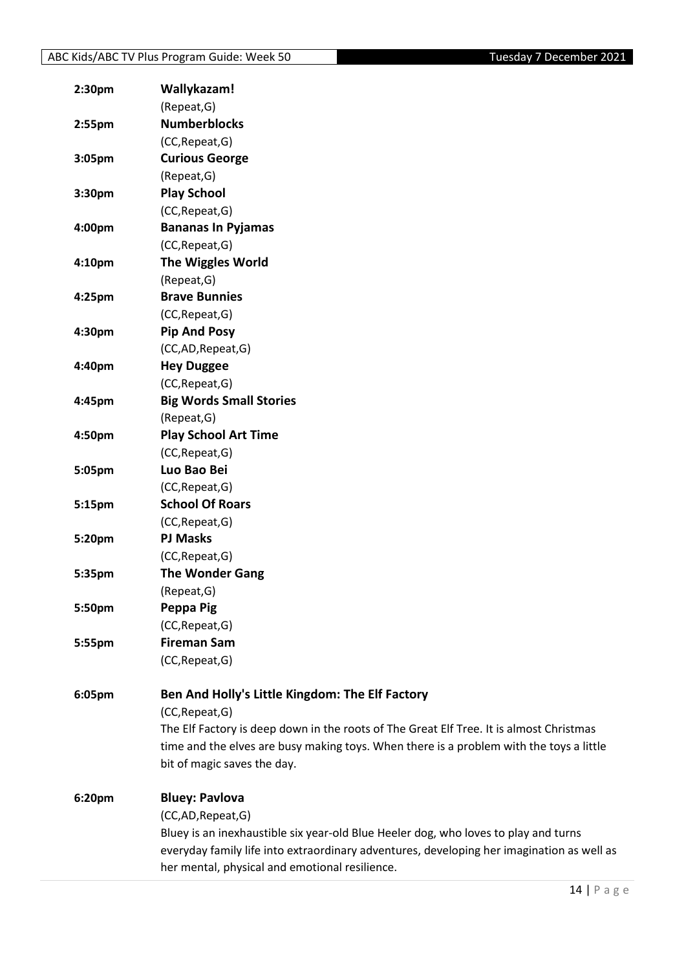| 2:30pm | Wallykazam!                                                                               |
|--------|-------------------------------------------------------------------------------------------|
|        | (Repeat, G)                                                                               |
| 2:55pm | <b>Numberblocks</b>                                                                       |
|        | (CC, Repeat, G)                                                                           |
| 3:05pm | <b>Curious George</b>                                                                     |
|        | (Repeat, G)                                                                               |
| 3:30pm | <b>Play School</b>                                                                        |
|        | (CC, Repeat, G)                                                                           |
| 4:00pm | <b>Bananas In Pyjamas</b>                                                                 |
|        | (CC, Repeat, G)                                                                           |
| 4:10pm | <b>The Wiggles World</b>                                                                  |
|        | (Repeat, G)                                                                               |
| 4:25pm | <b>Brave Bunnies</b>                                                                      |
|        | (CC, Repeat, G)                                                                           |
| 4:30pm | <b>Pip And Posy</b>                                                                       |
|        | (CC,AD,Repeat,G)                                                                          |
| 4:40pm | <b>Hey Duggee</b>                                                                         |
|        | (CC, Repeat, G)                                                                           |
| 4:45pm | <b>Big Words Small Stories</b>                                                            |
|        | (Repeat, G)                                                                               |
| 4:50pm | <b>Play School Art Time</b>                                                               |
|        | (CC, Repeat, G)                                                                           |
| 5:05pm | Luo Bao Bei                                                                               |
|        | (CC, Repeat, G)                                                                           |
| 5:15pm | <b>School Of Roars</b>                                                                    |
|        | (CC, Repeat, G)                                                                           |
| 5:20pm | <b>PJ Masks</b>                                                                           |
|        | (CC, Repeat, G)                                                                           |
| 5:35pm | <b>The Wonder Gang</b>                                                                    |
|        | (Repeat, G)                                                                               |
| 5:50pm | Peppa Pig                                                                                 |
|        | (CC, Repeat, G)                                                                           |
| 5:55pm | <b>Fireman Sam</b>                                                                        |
|        | (CC, Repeat, G)                                                                           |
|        |                                                                                           |
| 6:05pm | Ben And Holly's Little Kingdom: The Elf Factory                                           |
|        | (CC, Repeat, G)                                                                           |
|        | The Elf Factory is deep down in the roots of The Great Elf Tree. It is almost Christmas   |
|        | time and the elves are busy making toys. When there is a problem with the toys a little   |
|        | bit of magic saves the day.                                                               |
| 6:20pm | <b>Bluey: Pavlova</b>                                                                     |
|        | (CC,AD,Repeat,G)                                                                          |
|        | Bluey is an inexhaustible six year-old Blue Heeler dog, who loves to play and turns       |
|        | everyday family life into extraordinary adventures, developing her imagination as well as |
|        | her mental, physical and emotional resilience.                                            |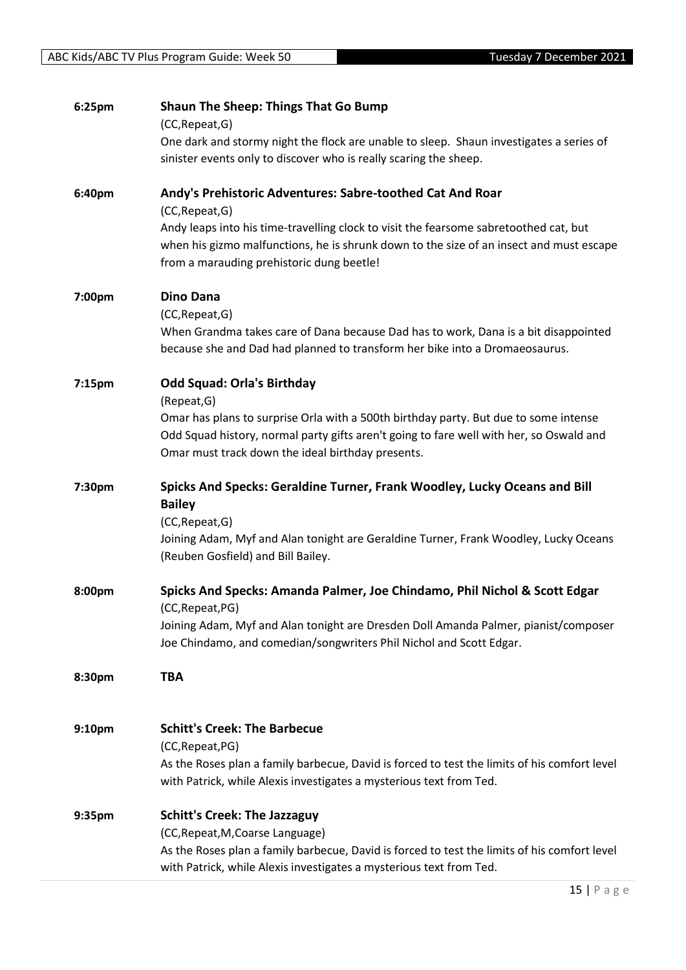| 6:25pm             | <b>Shaun The Sheep: Things That Go Bump</b>                                                  |
|--------------------|----------------------------------------------------------------------------------------------|
|                    | (CC, Repeat, G)                                                                              |
|                    | One dark and stormy night the flock are unable to sleep. Shaun investigates a series of      |
|                    | sinister events only to discover who is really scaring the sheep.                            |
| 6:40pm             | Andy's Prehistoric Adventures: Sabre-toothed Cat And Roar                                    |
|                    | (CC, Repeat, G)                                                                              |
|                    | Andy leaps into his time-travelling clock to visit the fearsome sabretoothed cat, but        |
|                    | when his gizmo malfunctions, he is shrunk down to the size of an insect and must escape      |
|                    | from a marauding prehistoric dung beetle!                                                    |
| 7:00pm             | <b>Dino Dana</b>                                                                             |
|                    | (CC, Repeat, G)                                                                              |
|                    | When Grandma takes care of Dana because Dad has to work, Dana is a bit disappointed          |
|                    | because she and Dad had planned to transform her bike into a Dromaeosaurus.                  |
| 7:15pm             | <b>Odd Squad: Orla's Birthday</b>                                                            |
|                    | (Repeat, G)                                                                                  |
|                    | Omar has plans to surprise Orla with a 500th birthday party. But due to some intense         |
|                    | Odd Squad history, normal party gifts aren't going to fare well with her, so Oswald and      |
|                    | Omar must track down the ideal birthday presents.                                            |
| 7:30pm             | Spicks And Specks: Geraldine Turner, Frank Woodley, Lucky Oceans and Bill                    |
|                    | <b>Bailey</b>                                                                                |
|                    | (CC, Repeat, G)                                                                              |
|                    | Joining Adam, Myf and Alan tonight are Geraldine Turner, Frank Woodley, Lucky Oceans         |
|                    | (Reuben Gosfield) and Bill Bailey.                                                           |
| 8:00pm             | Spicks And Specks: Amanda Palmer, Joe Chindamo, Phil Nichol & Scott Edgar                    |
|                    | (CC, Repeat, PG)                                                                             |
|                    | Joining Adam, Myf and Alan tonight are Dresden Doll Amanda Palmer, pianist/composer          |
|                    | Joe Chindamo, and comedian/songwriters Phil Nichol and Scott Edgar.                          |
| 8:30pm             | <b>TBA</b>                                                                                   |
|                    |                                                                                              |
| 9:10 <sub>pm</sub> | <b>Schitt's Creek: The Barbecue</b>                                                          |
|                    | (CC, Repeat, PG)                                                                             |
|                    | As the Roses plan a family barbecue, David is forced to test the limits of his comfort level |
|                    | with Patrick, while Alexis investigates a mysterious text from Ted.                          |
| 9:35pm             | <b>Schitt's Creek: The Jazzaguy</b>                                                          |
|                    | (CC, Repeat, M, Coarse Language)                                                             |
|                    | As the Roses plan a family barbecue, David is forced to test the limits of his comfort level |
|                    | with Patrick, while Alexis investigates a mysterious text from Ted.                          |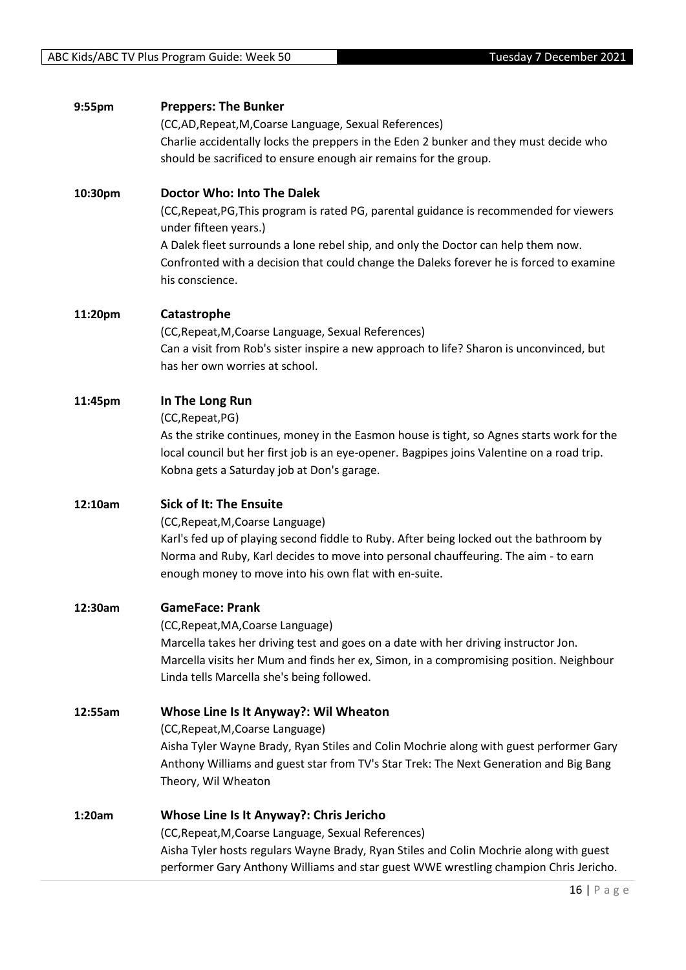| 9:55pm  | <b>Preppers: The Bunker</b>                                                                |
|---------|--------------------------------------------------------------------------------------------|
|         | (CC,AD, Repeat, M, Coarse Language, Sexual References)                                     |
|         | Charlie accidentally locks the preppers in the Eden 2 bunker and they must decide who      |
|         | should be sacrificed to ensure enough air remains for the group.                           |
|         |                                                                                            |
| 10:30pm | <b>Doctor Who: Into The Dalek</b>                                                          |
|         | (CC, Repeat, PG, This program is rated PG, parental guidance is recommended for viewers    |
|         | under fifteen years.)                                                                      |
|         | A Dalek fleet surrounds a lone rebel ship, and only the Doctor can help them now.          |
|         |                                                                                            |
|         | Confronted with a decision that could change the Daleks forever he is forced to examine    |
|         | his conscience.                                                                            |
| 11:20pm | Catastrophe                                                                                |
|         | (CC, Repeat, M, Coarse Language, Sexual References)                                        |
|         |                                                                                            |
|         | Can a visit from Rob's sister inspire a new approach to life? Sharon is unconvinced, but   |
|         | has her own worries at school.                                                             |
| 11:45pm | In The Long Run                                                                            |
|         | (CC, Repeat, PG)                                                                           |
|         | As the strike continues, money in the Easmon house is tight, so Agnes starts work for the  |
|         |                                                                                            |
|         | local council but her first job is an eye-opener. Bagpipes joins Valentine on a road trip. |
|         | Kobna gets a Saturday job at Don's garage.                                                 |
| 12:10am | <b>Sick of It: The Ensuite</b>                                                             |
|         | (CC, Repeat, M, Coarse Language)                                                           |
|         | Karl's fed up of playing second fiddle to Ruby. After being locked out the bathroom by     |
|         | Norma and Ruby, Karl decides to move into personal chauffeuring. The aim - to earn         |
|         | enough money to move into his own flat with en-suite.                                      |
|         |                                                                                            |
| 12:30am | <b>GameFace: Prank</b>                                                                     |
|         | (CC, Repeat, MA, Coarse Language)                                                          |
|         | Marcella takes her driving test and goes on a date with her driving instructor Jon.        |
|         | Marcella visits her Mum and finds her ex, Simon, in a compromising position. Neighbour     |
|         | Linda tells Marcella she's being followed.                                                 |
|         |                                                                                            |
| 12:55am | Whose Line Is It Anyway?: Wil Wheaton                                                      |
|         | (CC, Repeat, M, Coarse Language)                                                           |
|         | Aisha Tyler Wayne Brady, Ryan Stiles and Colin Mochrie along with guest performer Gary     |
|         | Anthony Williams and guest star from TV's Star Trek: The Next Generation and Big Bang      |
|         | Theory, Wil Wheaton                                                                        |
|         |                                                                                            |
| 1:20am  | Whose Line Is It Anyway?: Chris Jericho                                                    |
|         | (CC, Repeat, M, Coarse Language, Sexual References)                                        |
|         | Aisha Tyler hosts regulars Wayne Brady, Ryan Stiles and Colin Mochrie along with guest     |
|         | performer Gary Anthony Williams and star guest WWE wrestling champion Chris Jericho.       |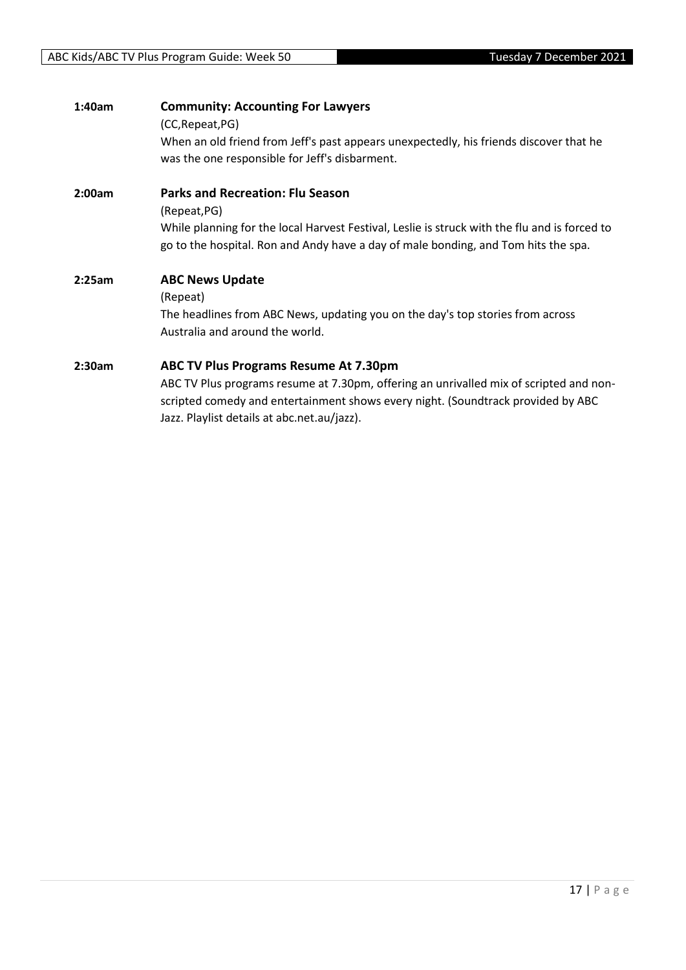| 1:40am | <b>Community: Accounting For Lawyers</b><br>(CC, Repeat, PG)<br>When an old friend from Jeff's past appears unexpectedly, his friends discover that he<br>was the one responsible for Jeff's disbarment.                                                                  |
|--------|---------------------------------------------------------------------------------------------------------------------------------------------------------------------------------------------------------------------------------------------------------------------------|
| 2:00am | <b>Parks and Recreation: Flu Season</b><br>(Repeat, PG)<br>While planning for the local Harvest Festival, Leslie is struck with the flu and is forced to<br>go to the hospital. Ron and Andy have a day of male bonding, and Tom hits the spa.                            |
| 2:25am | <b>ABC News Update</b><br>(Repeat)<br>The headlines from ABC News, updating you on the day's top stories from across<br>Australia and around the world.                                                                                                                   |
| 2:30am | <b>ABC TV Plus Programs Resume At 7.30pm</b><br>ABC TV Plus programs resume at 7.30pm, offering an unrivalled mix of scripted and non-<br>scripted comedy and entertainment shows every night. (Soundtrack provided by ABC<br>Jazz. Playlist details at abc.net.au/jazz). |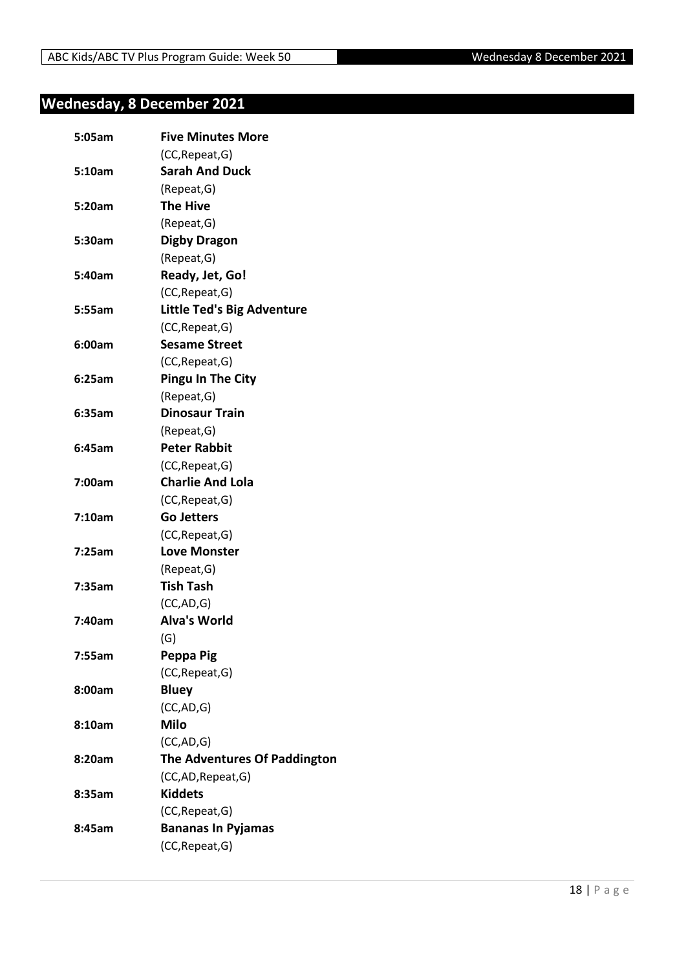## <span id="page-17-0"></span>**Wednesday, 8 December 2021**

| 5:05am | <b>Five Minutes More</b>          |
|--------|-----------------------------------|
|        | (CC, Repeat, G)                   |
| 5:10am | <b>Sarah And Duck</b>             |
|        | (Repeat, G)                       |
| 5:20am | <b>The Hive</b>                   |
|        | (Repeat, G)                       |
| 5:30am | <b>Digby Dragon</b>               |
|        | (Repeat, G)                       |
| 5:40am | Ready, Jet, Go!                   |
|        | (CC, Repeat, G)                   |
| 5:55am | <b>Little Ted's Big Adventure</b> |
|        | (CC, Repeat, G)                   |
| 6:00am | <b>Sesame Street</b>              |
|        | (CC, Repeat, G)                   |
| 6:25am | <b>Pingu In The City</b>          |
|        | (Repeat, G)                       |
| 6:35am | <b>Dinosaur Train</b>             |
|        | (Repeat, G)                       |
| 6:45am | <b>Peter Rabbit</b>               |
|        | (CC, Repeat, G)                   |
| 7:00am | <b>Charlie And Lola</b>           |
|        | (CC, Repeat, G)                   |
| 7:10am | <b>Go Jetters</b>                 |
|        | (CC, Repeat, G)                   |
| 7:25am | <b>Love Monster</b>               |
|        | (Repeat, G)                       |
| 7:35am | <b>Tish Tash</b>                  |
|        | (CC, AD, G)                       |
| 7:40am | <b>Alva's World</b>               |
|        | (G)                               |
| 7:55am | Peppa Pig                         |
|        | (CC, Repeat, G)                   |
| 8:00am | <b>Bluey</b>                      |
|        | (CC,AD,G)                         |
| 8:10am | <b>Milo</b>                       |
|        | (CC, AD, G)                       |
| 8:20am | The Adventures Of Paddington      |
|        | (CC,AD,Repeat,G)                  |
| 8:35am | <b>Kiddets</b>                    |
|        | (CC, Repeat, G)                   |
| 8:45am | <b>Bananas In Pyjamas</b>         |
|        | (CC, Repeat, G)                   |
|        |                                   |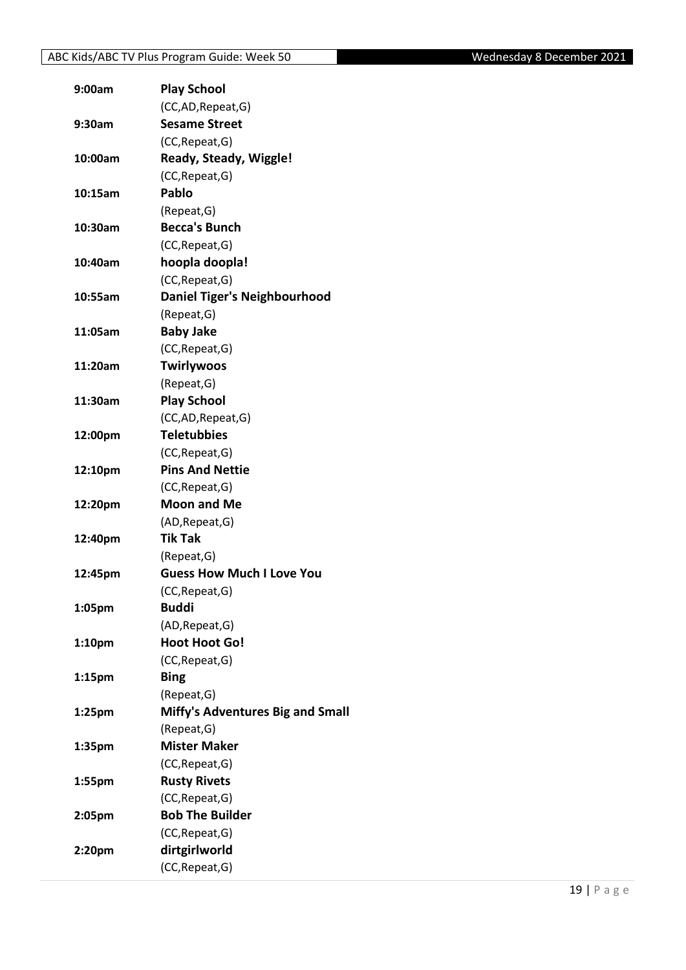| 9:00am             | <b>Play School</b>                      |
|--------------------|-----------------------------------------|
|                    | (CC,AD, Repeat, G)                      |
| 9:30am             | <b>Sesame Street</b>                    |
|                    | (CC, Repeat, G)                         |
| 10:00am            | Ready, Steady, Wiggle!                  |
|                    | (CC, Repeat, G)                         |
| 10:15am            | Pablo                                   |
|                    | (Repeat, G)                             |
| 10:30am            | <b>Becca's Bunch</b>                    |
|                    | (CC, Repeat, G)                         |
| 10:40am            | hoopla doopla!                          |
|                    | (CC, Repeat, G)                         |
| 10:55am            | <b>Daniel Tiger's Neighbourhood</b>     |
|                    | (Repeat, G)                             |
| 11:05am            | <b>Baby Jake</b>                        |
|                    | (CC, Repeat, G)                         |
| 11:20am            | <b>Twirlywoos</b>                       |
|                    | (Repeat, G)                             |
| 11:30am            | <b>Play School</b>                      |
|                    | (CC,AD, Repeat, G)                      |
| 12:00pm            | <b>Teletubbies</b>                      |
|                    | (CC, Repeat, G)                         |
| 12:10pm            | <b>Pins And Nettie</b>                  |
|                    | (CC, Repeat, G)                         |
| 12:20pm            | <b>Moon and Me</b>                      |
|                    | (AD, Repeat, G)                         |
| 12:40pm            | <b>Tik Tak</b>                          |
|                    | (Repeat, G)                             |
| 12:45pm            | <b>Guess How Much I Love You</b>        |
|                    | (CC, Repeat, G)                         |
| 1:05pm             | <b>Buddi</b>                            |
|                    | (AD, Repeat, G)                         |
|                    | <b>Hoot Hoot Go!</b>                    |
| 1:10 <sub>pm</sub> |                                         |
|                    | (CC, Repeat, G)                         |
| 1:15 <sub>pm</sub> | <b>Bing</b>                             |
|                    | (Repeat, G)                             |
| 1:25pm             | <b>Miffy's Adventures Big and Small</b> |
|                    | (Repeat, G)                             |
| 1:35pm             | <b>Mister Maker</b>                     |
|                    | (CC, Repeat, G)                         |
| 1:55pm             | <b>Rusty Rivets</b>                     |
|                    | (CC, Repeat, G)                         |
| 2:05pm             | <b>Bob The Builder</b>                  |
|                    | (CC, Repeat, G)                         |
| 2:20pm             | dirtgirlworld                           |
|                    | (CC, Repeat, G)                         |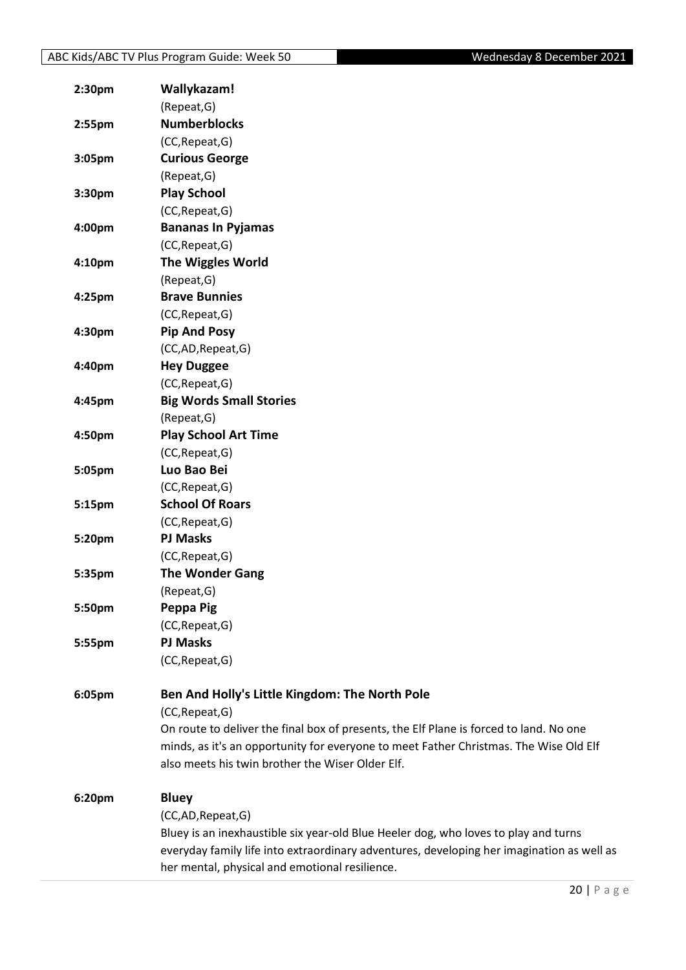| 2:30 <sub>pm</sub> | Wallykazam!                                                                               |
|--------------------|-------------------------------------------------------------------------------------------|
|                    | (Repeat, G)                                                                               |
| 2:55pm             | <b>Numberblocks</b>                                                                       |
|                    | (CC, Repeat, G)                                                                           |
| 3:05pm             | <b>Curious George</b>                                                                     |
|                    | (Repeat, G)                                                                               |
| 3:30pm             | <b>Play School</b>                                                                        |
|                    | (CC, Repeat, G)                                                                           |
| 4:00pm             | <b>Bananas In Pyjamas</b>                                                                 |
|                    | (CC, Repeat, G)                                                                           |
| 4:10pm             | <b>The Wiggles World</b>                                                                  |
|                    | (Repeat, G)                                                                               |
| 4:25pm             | <b>Brave Bunnies</b>                                                                      |
|                    | (CC, Repeat, G)                                                                           |
| 4:30pm             | <b>Pip And Posy</b>                                                                       |
|                    | (CC,AD, Repeat, G)                                                                        |
| 4:40pm             | <b>Hey Duggee</b>                                                                         |
|                    | (CC, Repeat, G)                                                                           |
| 4:45pm             | <b>Big Words Small Stories</b>                                                            |
|                    | (Repeat, G)                                                                               |
| 4:50pm             | <b>Play School Art Time</b>                                                               |
|                    | (CC, Repeat, G)                                                                           |
| 5:05pm             | Luo Bao Bei                                                                               |
|                    | (CC, Repeat, G)                                                                           |
| 5:15pm             | <b>School Of Roars</b>                                                                    |
|                    | (CC, Repeat, G)                                                                           |
| 5:20pm             | <b>PJ Masks</b>                                                                           |
|                    | (CC, Repeat, G)                                                                           |
| 5:35pm             | <b>The Wonder Gang</b>                                                                    |
|                    | (Repeat, G)                                                                               |
| 5:50pm             | Peppa Pig                                                                                 |
|                    | (CC, Repeat, G)                                                                           |
| 5:55pm             | <b>PJ Masks</b>                                                                           |
|                    | (CC, Repeat, G)                                                                           |
|                    |                                                                                           |
| 6:05pm             | Ben And Holly's Little Kingdom: The North Pole                                            |
|                    | (CC, Repeat, G)                                                                           |
|                    | On route to deliver the final box of presents, the Elf Plane is forced to land. No one    |
|                    | minds, as it's an opportunity for everyone to meet Father Christmas. The Wise Old Elf     |
|                    | also meets his twin brother the Wiser Older Elf.                                          |
| 6:20pm             | <b>Bluey</b>                                                                              |
|                    | (CC,AD,Repeat,G)                                                                          |
|                    | Bluey is an inexhaustible six year-old Blue Heeler dog, who loves to play and turns       |
|                    | everyday family life into extraordinary adventures, developing her imagination as well as |
|                    | her mental, physical and emotional resilience.                                            |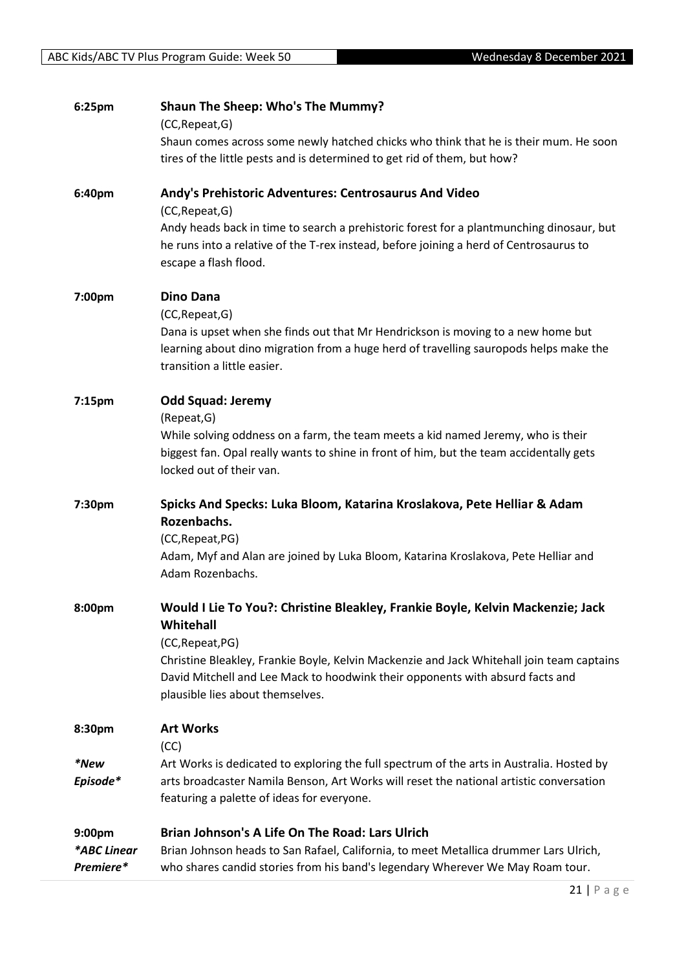| 6:25pm                             | Shaun The Sheep: Who's The Mummy?<br>(CC, Repeat, G)<br>Shaun comes across some newly hatched chicks who think that he is their mum. He soon<br>tires of the little pests and is determined to get rid of them, but how?           |
|------------------------------------|------------------------------------------------------------------------------------------------------------------------------------------------------------------------------------------------------------------------------------|
| 6:40pm                             | Andy's Prehistoric Adventures: Centrosaurus And Video<br>(CC, Repeat, G)                                                                                                                                                           |
|                                    | Andy heads back in time to search a prehistoric forest for a plantmunching dinosaur, but<br>he runs into a relative of the T-rex instead, before joining a herd of Centrosaurus to<br>escape a flash flood.                        |
| 7:00pm                             | <b>Dino Dana</b><br>(CC, Repeat, G)<br>Dana is upset when she finds out that Mr Hendrickson is moving to a new home but                                                                                                            |
|                                    | learning about dino migration from a huge herd of travelling sauropods helps make the<br>transition a little easier.                                                                                                               |
| 7:15pm                             | <b>Odd Squad: Jeremy</b><br>(Repeat, G)                                                                                                                                                                                            |
|                                    | While solving oddness on a farm, the team meets a kid named Jeremy, who is their<br>biggest fan. Opal really wants to shine in front of him, but the team accidentally gets<br>locked out of their van.                            |
| 7:30pm                             | Spicks And Specks: Luka Bloom, Katarina Kroslakova, Pete Helliar & Adam<br>Rozenbachs.<br>(CC, Repeat, PG)                                                                                                                         |
|                                    | Adam, Myf and Alan are joined by Luka Bloom, Katarina Kroslakova, Pete Helliar and<br>Adam Rozenbachs.                                                                                                                             |
| 8:00pm                             | Would I Lie To You?: Christine Bleakley, Frankie Boyle, Kelvin Mackenzie; Jack<br>Whitehall                                                                                                                                        |
|                                    | (CC, Repeat, PG)<br>Christine Bleakley, Frankie Boyle, Kelvin Mackenzie and Jack Whitehall join team captains<br>David Mitchell and Lee Mack to hoodwink their opponents with absurd facts and<br>plausible lies about themselves. |
| 8:30pm                             | <b>Art Works</b><br>(CC)                                                                                                                                                                                                           |
| *New<br>Episode*                   | Art Works is dedicated to exploring the full spectrum of the arts in Australia. Hosted by<br>arts broadcaster Namila Benson, Art Works will reset the national artistic conversation<br>featuring a palette of ideas for everyone. |
| 9:00pm<br>*ABC Linear<br>Premiere* | Brian Johnson's A Life On The Road: Lars Ulrich<br>Brian Johnson heads to San Rafael, California, to meet Metallica drummer Lars Ulrich,<br>who shares candid stories from his band's legendary Wherever We May Roam tour.         |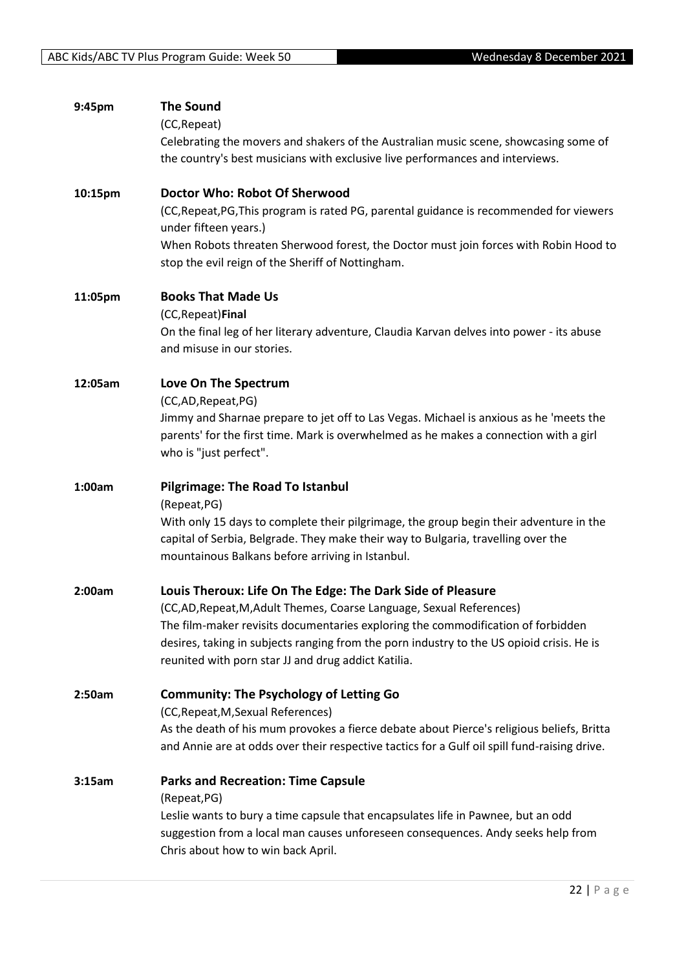| 9:45pm  | <b>The Sound</b><br>(CC, Repeat)<br>Celebrating the movers and shakers of the Australian music scene, showcasing some of<br>the country's best musicians with exclusive live performances and interviews.                                                                                                                                                                  |
|---------|----------------------------------------------------------------------------------------------------------------------------------------------------------------------------------------------------------------------------------------------------------------------------------------------------------------------------------------------------------------------------|
| 10:15pm | Doctor Who: Robot Of Sherwood<br>(CC, Repeat, PG, This program is rated PG, parental guidance is recommended for viewers<br>under fifteen years.)<br>When Robots threaten Sherwood forest, the Doctor must join forces with Robin Hood to<br>stop the evil reign of the Sheriff of Nottingham.                                                                             |
| 11:05pm | <b>Books That Made Us</b><br>(CC, Repeat) Final<br>On the final leg of her literary adventure, Claudia Karvan delves into power - its abuse<br>and misuse in our stories.                                                                                                                                                                                                  |
| 12:05am | Love On The Spectrum<br>(CC,AD,Repeat,PG)<br>Jimmy and Sharnae prepare to jet off to Las Vegas. Michael is anxious as he 'meets the<br>parents' for the first time. Mark is overwhelmed as he makes a connection with a girl<br>who is "just perfect".                                                                                                                     |
| 1:00am  | <b>Pilgrimage: The Road To Istanbul</b><br>(Repeat, PG)<br>With only 15 days to complete their pilgrimage, the group begin their adventure in the<br>capital of Serbia, Belgrade. They make their way to Bulgaria, travelling over the<br>mountainous Balkans before arriving in Istanbul.                                                                                 |
| 2:00am  | Louis Theroux: Life On The Edge: The Dark Side of Pleasure<br>(CC,AD, Repeat, M, Adult Themes, Coarse Language, Sexual References)<br>The film-maker revisits documentaries exploring the commodification of forbidden<br>desires, taking in subjects ranging from the porn industry to the US opioid crisis. He is<br>reunited with porn star JJ and drug addict Katilia. |
| 2:50am  | <b>Community: The Psychology of Letting Go</b><br>(CC, Repeat, M, Sexual References)<br>As the death of his mum provokes a fierce debate about Pierce's religious beliefs, Britta<br>and Annie are at odds over their respective tactics for a Gulf oil spill fund-raising drive.                                                                                          |
| 3:15am  | <b>Parks and Recreation: Time Capsule</b><br>(Repeat, PG)<br>Leslie wants to bury a time capsule that encapsulates life in Pawnee, but an odd<br>suggestion from a local man causes unforeseen consequences. Andy seeks help from<br>Chris about how to win back April.                                                                                                    |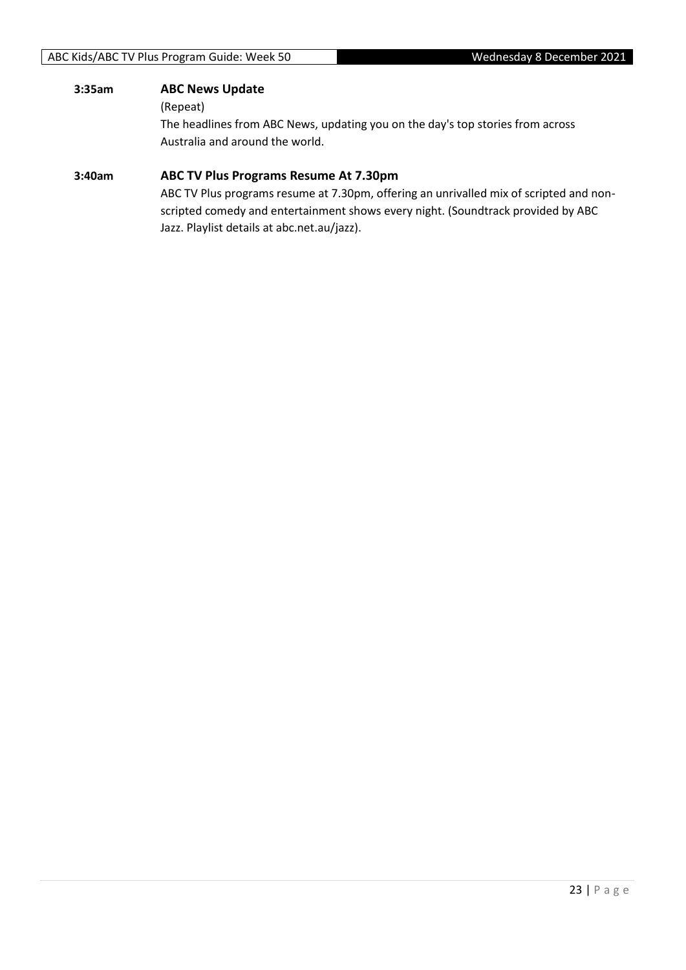#### **3:35am ABC News Update**

(Repeat)

The headlines from ABC News, updating you on the day's top stories from across Australia and around the world.

#### **3:40am ABC TV Plus Programs Resume At 7.30pm**

ABC TV Plus programs resume at 7.30pm, offering an unrivalled mix of scripted and nonscripted comedy and entertainment shows every night. (Soundtrack provided by ABC Jazz. Playlist details at abc.net.au/jazz).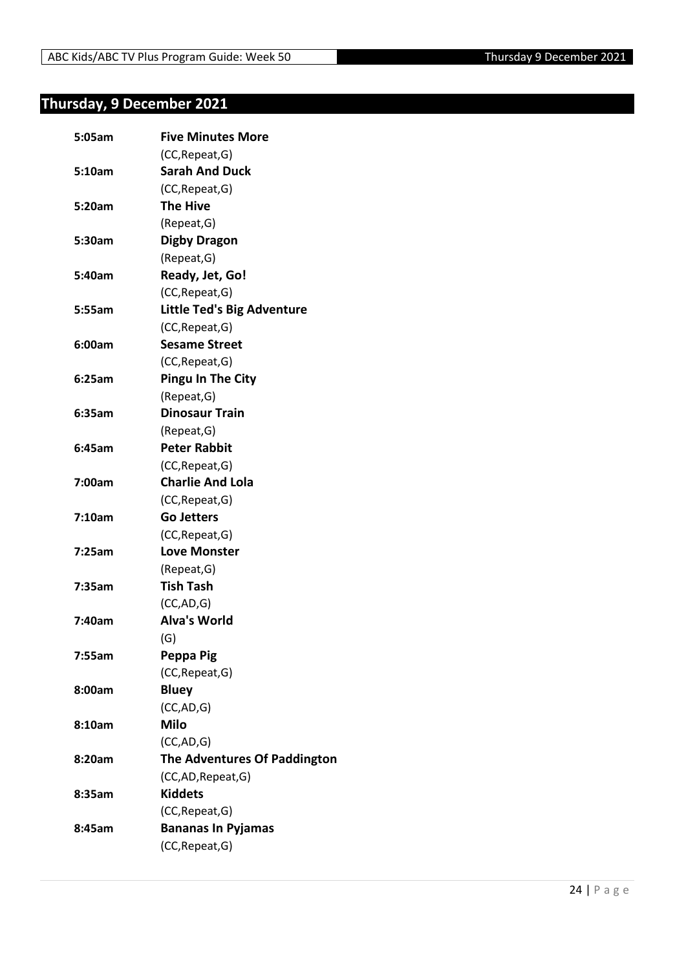## <span id="page-23-0"></span>**Thursday, 9 December 2021**

| 5:05am | <b>Five Minutes More</b>          |
|--------|-----------------------------------|
|        | (CC, Repeat, G)                   |
| 5:10am | <b>Sarah And Duck</b>             |
|        | (CC, Repeat, G)                   |
| 5:20am | <b>The Hive</b>                   |
|        | (Repeat, G)                       |
| 5:30am | <b>Digby Dragon</b>               |
|        | (Repeat, G)                       |
| 5:40am | Ready, Jet, Go!                   |
|        | (CC, Repeat, G)                   |
| 5:55am | <b>Little Ted's Big Adventure</b> |
|        | (CC, Repeat, G)                   |
| 6:00am | <b>Sesame Street</b>              |
|        | (CC, Repeat, G)                   |
| 6:25am | <b>Pingu In The City</b>          |
|        | (Repeat, G)                       |
| 6:35am | <b>Dinosaur Train</b>             |
|        | (Repeat, G)                       |
| 6:45am | <b>Peter Rabbit</b>               |
|        | (CC, Repeat, G)                   |
| 7:00am | <b>Charlie And Lola</b>           |
|        | (CC, Repeat, G)                   |
| 7:10am | <b>Go Jetters</b>                 |
|        | (CC, Repeat, G)                   |
| 7:25am | <b>Love Monster</b>               |
|        | (Repeat, G)                       |
| 7:35am | <b>Tish Tash</b>                  |
|        | (CC, AD, G)                       |
| 7:40am | <b>Alva's World</b>               |
|        | (G)                               |
| 7:55am | Peppa Pig                         |
|        | (CC, Repeat, G)                   |
| 8:00am | <b>Bluey</b>                      |
|        | (CC,AD,G)                         |
| 8:10am | <b>Milo</b>                       |
|        | (CC,AD,G)                         |
| 8:20am | The Adventures Of Paddington      |
|        | (CC,AD,Repeat,G)                  |
| 8:35am | <b>Kiddets</b>                    |
|        | (CC, Repeat, G)                   |
| 8:45am | <b>Bananas In Pyjamas</b>         |
|        |                                   |
|        | (CC, Repeat, G)                   |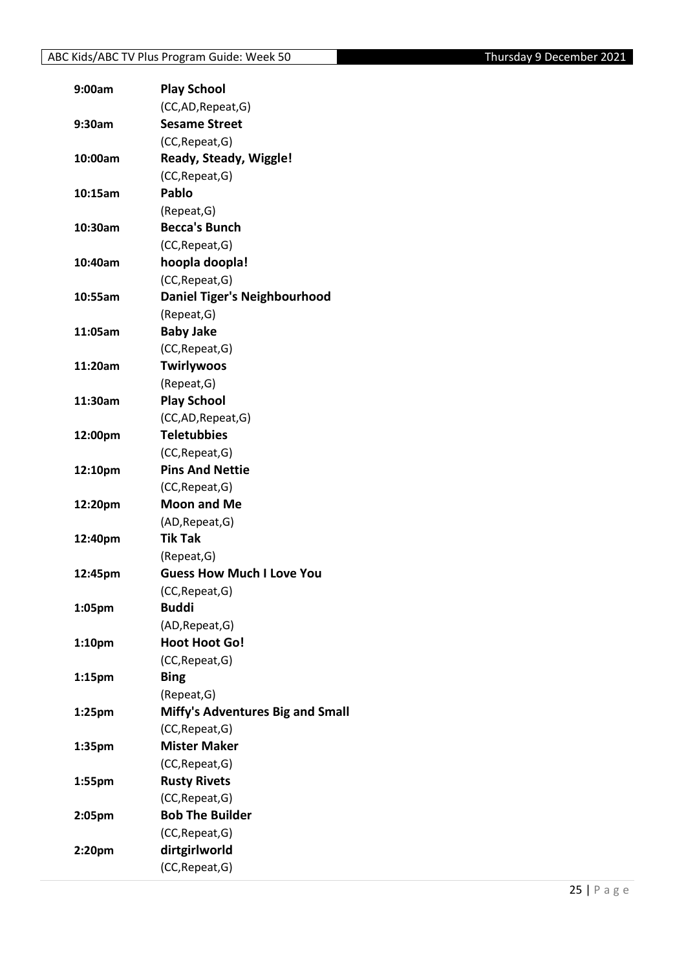| 9:00am             | <b>Play School</b>                  |
|--------------------|-------------------------------------|
|                    | (CC,AD, Repeat, G)                  |
| 9:30am             | <b>Sesame Street</b>                |
|                    | (CC, Repeat, G)                     |
| 10:00am            | Ready, Steady, Wiggle!              |
|                    | (CC, Repeat, G)                     |
| 10:15am            | Pablo                               |
|                    | (Repeat, G)                         |
| 10:30am            | <b>Becca's Bunch</b>                |
|                    | (CC, Repeat, G)                     |
| 10:40am            | hoopla doopla!                      |
|                    | (CC, Repeat, G)                     |
| 10:55am            | <b>Daniel Tiger's Neighbourhood</b> |
|                    | (Repeat, G)                         |
| 11:05am            | <b>Baby Jake</b>                    |
|                    | (CC, Repeat, G)                     |
| 11:20am            | <b>Twirlywoos</b>                   |
|                    | (Repeat, G)                         |
| 11:30am            | <b>Play School</b>                  |
|                    | (CC,AD,Repeat,G)                    |
| 12:00pm            | <b>Teletubbies</b>                  |
|                    | (CC, Repeat, G)                     |
| 12:10pm            | <b>Pins And Nettie</b>              |
|                    | (CC, Repeat, G)                     |
| 12:20pm            | <b>Moon and Me</b>                  |
|                    | (AD, Repeat, G)                     |
| 12:40pm            | <b>Tik Tak</b>                      |
|                    | (Repeat, G)                         |
| 12:45pm            | <b>Guess How Much I Love You</b>    |
|                    | (CC, Repeat, G)                     |
| 1:05pm             | <b>Buddi</b>                        |
|                    | (AD, Repeat, G)                     |
| 1:10 <sub>pm</sub> | <b>Hoot Hoot Go!</b>                |
|                    | (CC, Repeat, G)                     |
| 1:15 <sub>pm</sub> | <b>Bing</b>                         |
|                    | (Repeat, G)                         |
| 1:25pm             | Miffy's Adventures Big and Small    |
|                    | (CC, Repeat, G)                     |
| 1:35pm             | <b>Mister Maker</b>                 |
|                    | (CC, Repeat, G)                     |
| 1:55pm             | <b>Rusty Rivets</b>                 |
|                    | (CC, Repeat, G)                     |
| 2:05pm             | <b>Bob The Builder</b>              |
|                    | (CC, Repeat, G)                     |
| 2:20pm             | dirtgirlworld                       |
|                    | (CC, Repeat, G)                     |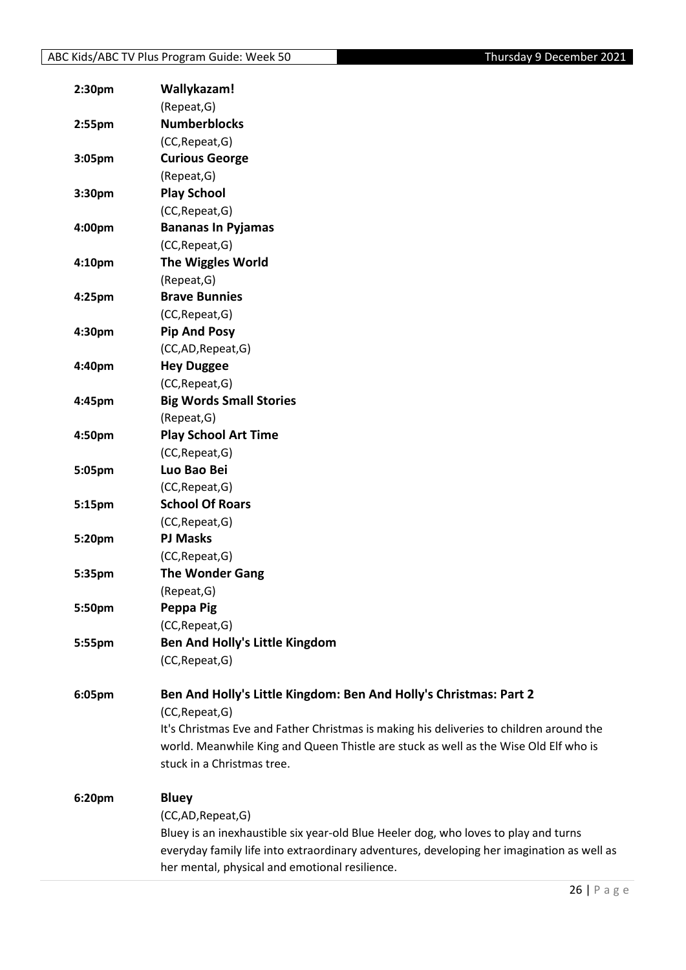| 2:30 <sub>pm</sub> | Wallykazam!                                                                               |
|--------------------|-------------------------------------------------------------------------------------------|
|                    | (Repeat, G)                                                                               |
| 2:55 <sub>pm</sub> | <b>Numberblocks</b>                                                                       |
|                    | (CC, Repeat, G)                                                                           |
| 3:05pm             | <b>Curious George</b>                                                                     |
|                    | (Repeat, G)                                                                               |
| 3:30 <sub>pm</sub> | <b>Play School</b>                                                                        |
|                    | (CC, Repeat, G)                                                                           |
| 4:00pm             | <b>Bananas In Pyjamas</b>                                                                 |
|                    | (CC, Repeat, G)                                                                           |
| 4:10 <sub>pm</sub> | <b>The Wiggles World</b>                                                                  |
|                    | (Repeat, G)                                                                               |
| 4:25pm             | <b>Brave Bunnies</b>                                                                      |
|                    | (CC, Repeat, G)                                                                           |
| 4:30pm             | <b>Pip And Posy</b>                                                                       |
|                    | (CC,AD,Repeat,G)                                                                          |
| 4:40pm             | <b>Hey Duggee</b>                                                                         |
|                    | (CC, Repeat, G)                                                                           |
| 4:45pm             | <b>Big Words Small Stories</b>                                                            |
|                    | (Repeat, G)                                                                               |
| 4:50pm             | <b>Play School Art Time</b>                                                               |
|                    | (CC, Repeat, G)                                                                           |
| 5:05pm             | Luo Bao Bei                                                                               |
|                    | (CC, Repeat, G)                                                                           |
| 5:15pm             | <b>School Of Roars</b>                                                                    |
|                    | (CC, Repeat, G)                                                                           |
| 5:20pm             | <b>PJ Masks</b>                                                                           |
|                    | (CC, Repeat, G)                                                                           |
| 5:35pm             | <b>The Wonder Gang</b>                                                                    |
|                    | (Repeat, G)                                                                               |
| 5:50pm             | Peppa Pig                                                                                 |
|                    | (CC, Repeat, G)                                                                           |
| 5:55pm             | <b>Ben And Holly's Little Kingdom</b>                                                     |
|                    | (CC, Repeat, G)                                                                           |
|                    |                                                                                           |
| 6:05pm             | Ben And Holly's Little Kingdom: Ben And Holly's Christmas: Part 2                         |
|                    | (CC, Repeat, G)                                                                           |
|                    | It's Christmas Eve and Father Christmas is making his deliveries to children around the   |
|                    | world. Meanwhile King and Queen Thistle are stuck as well as the Wise Old Elf who is      |
|                    | stuck in a Christmas tree.                                                                |
| 6:20pm             | <b>Bluey</b>                                                                              |
|                    | (CC,AD, Repeat, G)                                                                        |
|                    | Bluey is an inexhaustible six year-old Blue Heeler dog, who loves to play and turns       |
|                    | everyday family life into extraordinary adventures, developing her imagination as well as |
|                    | her mental, physical and emotional resilience.                                            |
|                    |                                                                                           |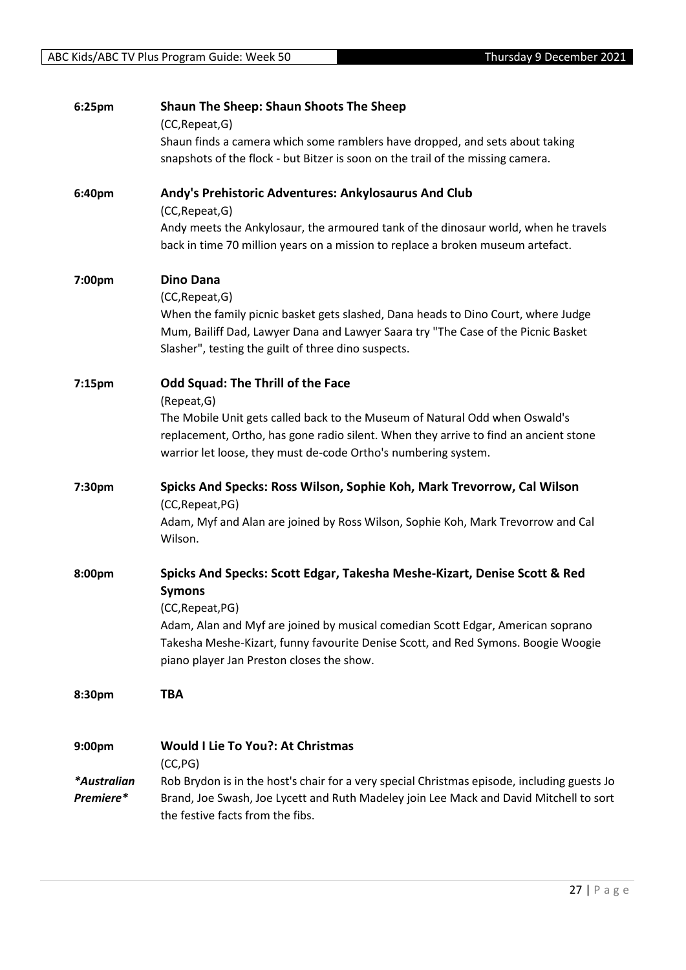| 6:25pm                   | <b>Shaun The Sheep: Shaun Shoots The Sheep</b><br>(CC, Repeat, G)<br>Shaun finds a camera which some ramblers have dropped, and sets about taking<br>snapshots of the flock - but Bitzer is soon on the trail of the missing camera.                                                                                               |
|--------------------------|------------------------------------------------------------------------------------------------------------------------------------------------------------------------------------------------------------------------------------------------------------------------------------------------------------------------------------|
| 6:40pm                   | Andy's Prehistoric Adventures: Ankylosaurus And Club<br>(CC, Repeat, G)<br>Andy meets the Ankylosaur, the armoured tank of the dinosaur world, when he travels<br>back in time 70 million years on a mission to replace a broken museum artefact.                                                                                  |
| 7:00pm                   | <b>Dino Dana</b><br>(CC, Repeat, G)<br>When the family picnic basket gets slashed, Dana heads to Dino Court, where Judge<br>Mum, Bailiff Dad, Lawyer Dana and Lawyer Saara try "The Case of the Picnic Basket<br>Slasher", testing the guilt of three dino suspects.                                                               |
| 7:15pm                   | <b>Odd Squad: The Thrill of the Face</b><br>(Repeat, G)<br>The Mobile Unit gets called back to the Museum of Natural Odd when Oswald's<br>replacement, Ortho, has gone radio silent. When they arrive to find an ancient stone<br>warrior let loose, they must de-code Ortho's numbering system.                                   |
| 7:30pm                   | Spicks And Specks: Ross Wilson, Sophie Koh, Mark Trevorrow, Cal Wilson<br>(CC, Repeat, PG)<br>Adam, Myf and Alan are joined by Ross Wilson, Sophie Koh, Mark Trevorrow and Cal<br>Wilson.                                                                                                                                          |
| 8:00pm                   | Spicks And Specks: Scott Edgar, Takesha Meshe-Kizart, Denise Scott & Red<br><b>Symons</b><br>(CC, Repeat, PG)<br>Adam, Alan and Myf are joined by musical comedian Scott Edgar, American soprano<br>Takesha Meshe-Kizart, funny favourite Denise Scott, and Red Symons. Boogie Woogie<br>piano player Jan Preston closes the show. |
| 8:30pm                   | TBA                                                                                                                                                                                                                                                                                                                                |
| 9:00pm                   | <b>Would I Lie To You?: At Christmas</b><br>(CC, PG)                                                                                                                                                                                                                                                                               |
| *Australian<br>Premiere* | Rob Brydon is in the host's chair for a very special Christmas episode, including guests Jo<br>Brand, Joe Swash, Joe Lycett and Ruth Madeley join Lee Mack and David Mitchell to sort<br>the festive facts from the fibs.                                                                                                          |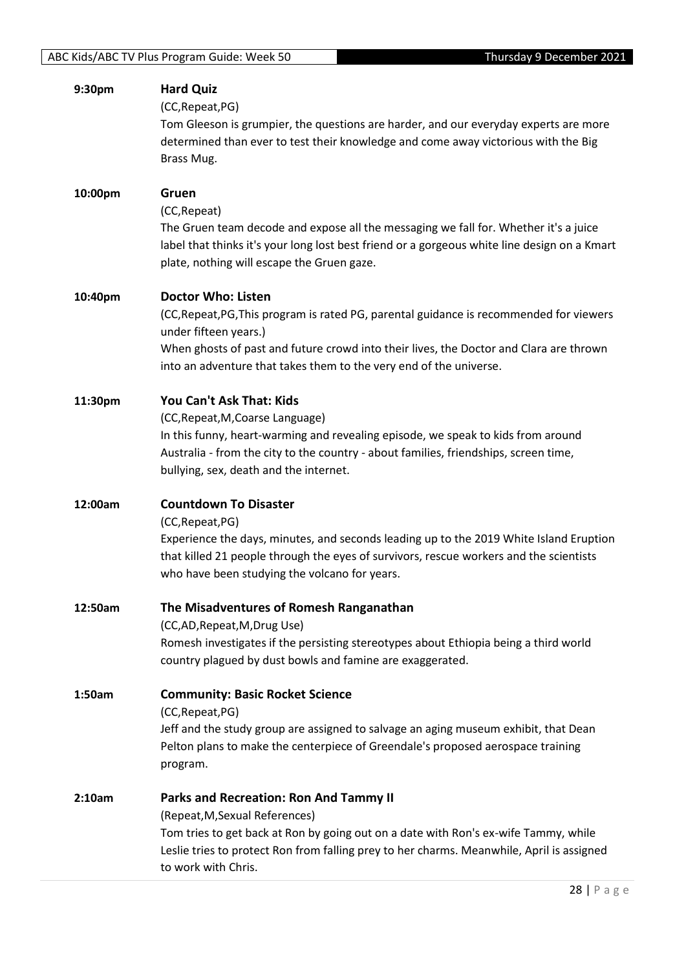| 9:30pm  | <b>Hard Quiz</b><br>(CC, Repeat, PG)<br>Tom Gleeson is grumpier, the questions are harder, and our everyday experts are more<br>determined than ever to test their knowledge and come away victorious with the Big<br>Brass Mug.                                                                              |
|---------|---------------------------------------------------------------------------------------------------------------------------------------------------------------------------------------------------------------------------------------------------------------------------------------------------------------|
| 10:00pm | Gruen<br>(CC, Repeat)<br>The Gruen team decode and expose all the messaging we fall for. Whether it's a juice<br>label that thinks it's your long lost best friend or a gorgeous white line design on a Kmart<br>plate, nothing will escape the Gruen gaze.                                                   |
| 10:40pm | <b>Doctor Who: Listen</b><br>(CC, Repeat, PG, This program is rated PG, parental guidance is recommended for viewers<br>under fifteen years.)<br>When ghosts of past and future crowd into their lives, the Doctor and Clara are thrown<br>into an adventure that takes them to the very end of the universe. |
| 11:30pm | You Can't Ask That: Kids<br>(CC, Repeat, M, Coarse Language)<br>In this funny, heart-warming and revealing episode, we speak to kids from around<br>Australia - from the city to the country - about families, friendships, screen time,<br>bullying, sex, death and the internet.                            |
| 12:00am | <b>Countdown To Disaster</b><br>(CC, Repeat, PG)<br>Experience the days, minutes, and seconds leading up to the 2019 White Island Eruption<br>that killed 21 people through the eyes of survivors, rescue workers and the scientists<br>who have been studying the volcano for years.                         |
| 12:50am | The Misadventures of Romesh Ranganathan<br>(CC,AD, Repeat, M, Drug Use)<br>Romesh investigates if the persisting stereotypes about Ethiopia being a third world<br>country plagued by dust bowls and famine are exaggerated.                                                                                  |
| 1:50am  | <b>Community: Basic Rocket Science</b><br>(CC, Repeat, PG)<br>Jeff and the study group are assigned to salvage an aging museum exhibit, that Dean<br>Pelton plans to make the centerpiece of Greendale's proposed aerospace training<br>program.                                                              |
| 2:10am  | <b>Parks and Recreation: Ron And Tammy II</b><br>(Repeat, M, Sexual References)<br>Tom tries to get back at Ron by going out on a date with Ron's ex-wife Tammy, while<br>Leslie tries to protect Ron from falling prey to her charms. Meanwhile, April is assigned<br>to work with Chris.                    |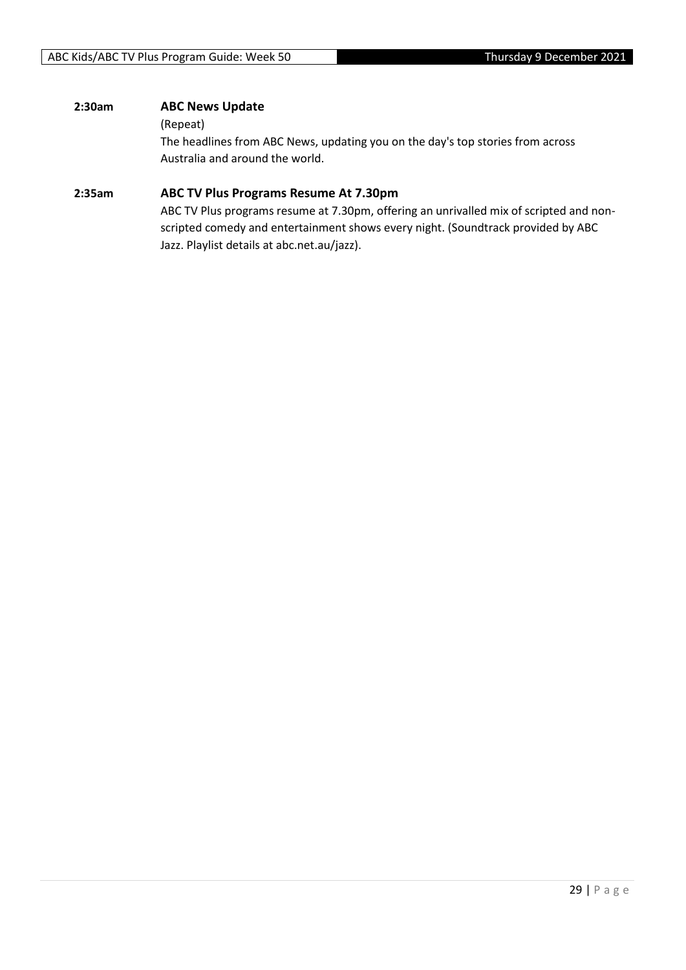#### **2:30am ABC News Update**

#### (Repeat)

The headlines from ABC News, updating you on the day's top stories from across Australia and around the world.

#### **2:35am ABC TV Plus Programs Resume At 7.30pm**

ABC TV Plus programs resume at 7.30pm, offering an unrivalled mix of scripted and nonscripted comedy and entertainment shows every night. (Soundtrack provided by ABC Jazz. Playlist details at abc.net.au/jazz).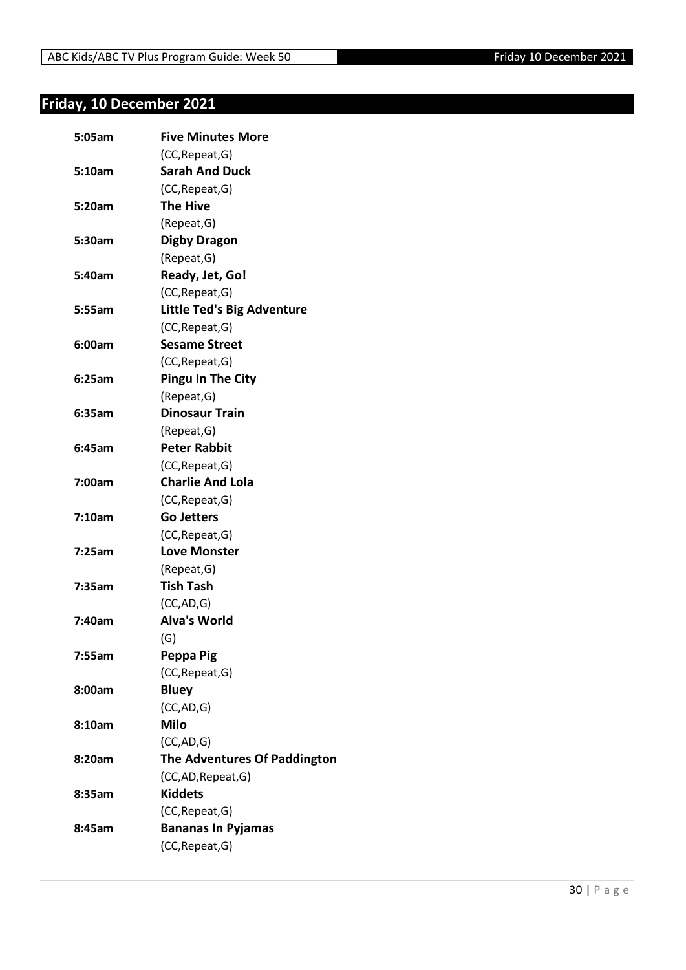## <span id="page-29-0"></span>**Friday, 10 December 2021**

| 5:05am | <b>Five Minutes More</b>            |
|--------|-------------------------------------|
|        | (CC, Repeat, G)                     |
| 5:10am | <b>Sarah And Duck</b>               |
|        | (CC, Repeat, G)                     |
| 5:20am | <b>The Hive</b>                     |
|        | (Repeat, G)                         |
| 5:30am | <b>Digby Dragon</b>                 |
|        | (Repeat, G)                         |
| 5:40am | Ready, Jet, Go!                     |
|        | (CC, Repeat, G)                     |
| 5:55am | <b>Little Ted's Big Adventure</b>   |
|        | (CC, Repeat, G)                     |
| 6:00am | <b>Sesame Street</b>                |
|        | (CC, Repeat, G)                     |
| 6:25am | <b>Pingu In The City</b>            |
|        | (Repeat, G)                         |
| 6:35am | <b>Dinosaur Train</b>               |
|        | (Repeat, G)                         |
| 6:45am | <b>Peter Rabbit</b>                 |
|        | (CC, Repeat, G)                     |
| 7:00am | <b>Charlie And Lola</b>             |
|        | (CC, Repeat, G)                     |
| 7:10am | <b>Go Jetters</b>                   |
|        | (CC, Repeat, G)                     |
| 7:25am | <b>Love Monster</b>                 |
|        | (Repeat, G)                         |
| 7:35am | <b>Tish Tash</b>                    |
|        | (CC, AD, G)                         |
| 7:40am | <b>Alva's World</b>                 |
|        | (G)                                 |
| 7:55am | Peppa Pig                           |
|        | (CC, Repeat, G)                     |
| 8:00am | <b>Bluey</b>                        |
|        | (CC,AD,G)                           |
| 8:10am | <b>Milo</b>                         |
|        | (CC,AD,G)                           |
| 8:20am | <b>The Adventures Of Paddington</b> |
|        | (CC,AD,Repeat,G)                    |
| 8:35am | <b>Kiddets</b>                      |
|        | (CC, Repeat, G)                     |
| 8:45am | <b>Bananas In Pyjamas</b>           |
|        | (CC, Repeat, G)                     |
|        |                                     |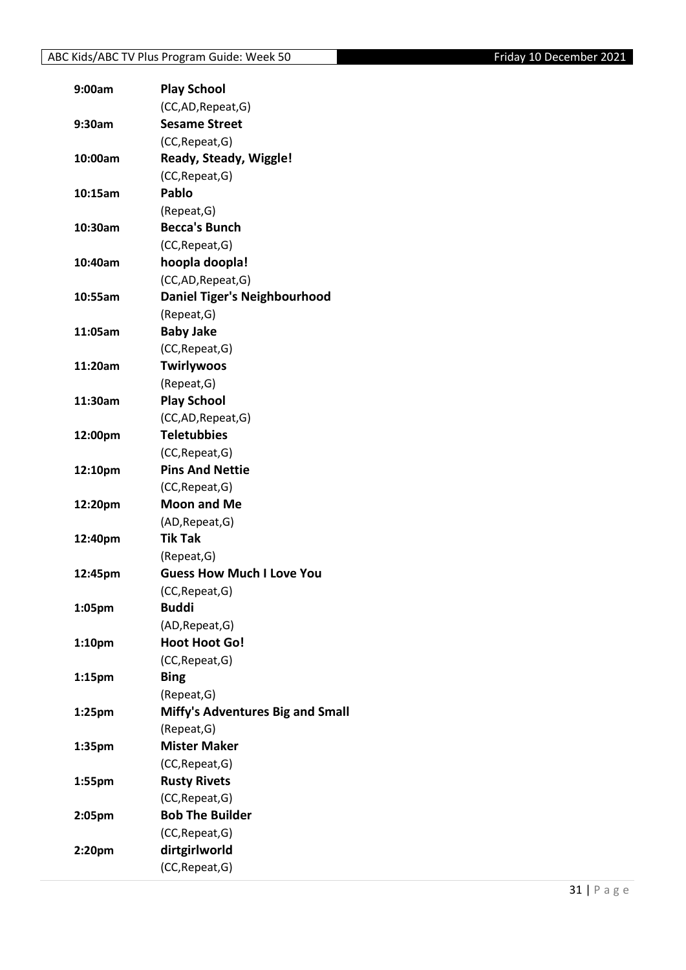| 9:00am             | <b>Play School</b>                      |
|--------------------|-----------------------------------------|
|                    | (CC,AD, Repeat, G)                      |
| 9:30am             | <b>Sesame Street</b>                    |
|                    | (CC, Repeat, G)                         |
| 10:00am            | Ready, Steady, Wiggle!                  |
|                    | (CC, Repeat, G)                         |
| 10:15am            | Pablo                                   |
|                    | (Repeat, G)                             |
| 10:30am            | <b>Becca's Bunch</b>                    |
|                    | (CC, Repeat, G)                         |
| 10:40am            | hoopla doopla!                          |
|                    | (CC,AD, Repeat, G)                      |
| 10:55am            | Daniel Tiger's Neighbourhood            |
|                    | (Repeat, G)                             |
| 11:05am            | <b>Baby Jake</b>                        |
|                    | (CC, Repeat, G)                         |
| 11:20am            | <b>Twirlywoos</b>                       |
|                    | (Repeat, G)                             |
| 11:30am            | <b>Play School</b>                      |
|                    | (CC,AD, Repeat, G)                      |
| 12:00pm            | <b>Teletubbies</b>                      |
|                    | (CC, Repeat, G)                         |
| 12:10pm            | <b>Pins And Nettie</b>                  |
|                    | (CC, Repeat, G)                         |
| 12:20pm            | <b>Moon and Me</b>                      |
|                    | (AD, Repeat, G)                         |
| 12:40pm            | <b>Tik Tak</b>                          |
|                    | (Repeat, G)                             |
| 12:45pm            | <b>Guess How Much I Love You</b>        |
|                    | (CC, Repeat, G)                         |
| 1:05pm             | <b>Buddi</b>                            |
|                    | (AD, Repeat, G)                         |
| 1:10pm             | <b>Hoot Hoot Go!</b>                    |
|                    | (CC, Repeat, G)                         |
| 1:15 <sub>pm</sub> | <b>Bing</b>                             |
|                    | (Repeat, G)                             |
| 1:25pm             | <b>Miffy's Adventures Big and Small</b> |
|                    | (Repeat, G)                             |
| 1:35pm             | <b>Mister Maker</b>                     |
|                    | (CC, Repeat, G)                         |
| 1:55pm             | <b>Rusty Rivets</b>                     |
|                    | (CC, Repeat, G)                         |
| 2:05pm             | <b>Bob The Builder</b>                  |
|                    | (CC, Repeat, G)                         |
| 2:20pm             | dirtgirlworld                           |
|                    | (CC, Repeat, G)                         |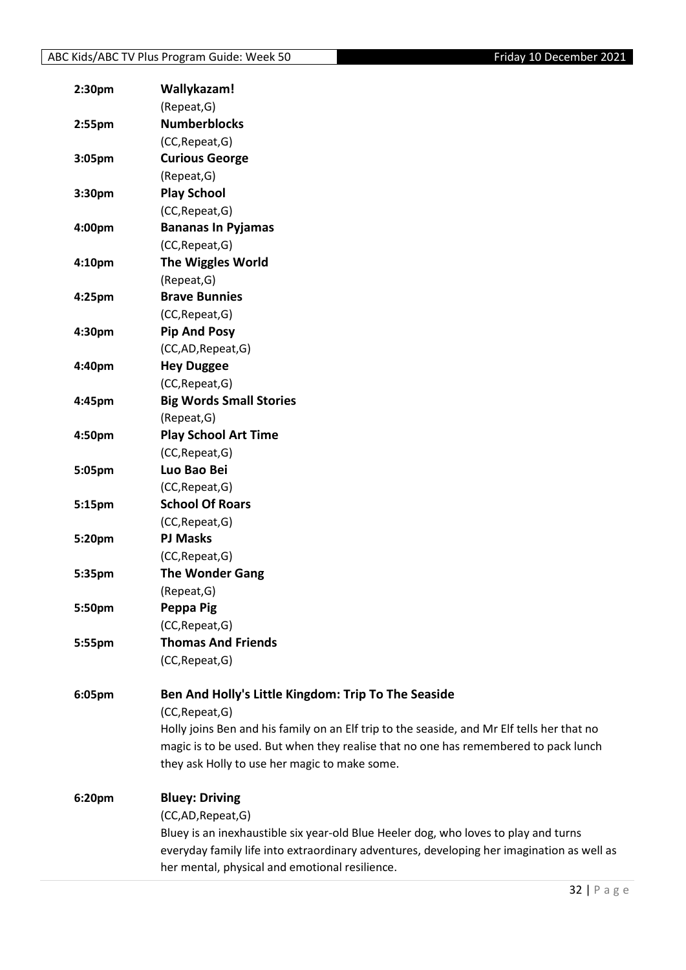| 2:30 <sub>pm</sub> | Wallykazam!                                                                                |
|--------------------|--------------------------------------------------------------------------------------------|
|                    | (Repeat, G)                                                                                |
| $2:55$ pm          | <b>Numberblocks</b>                                                                        |
|                    | (CC, Repeat, G)                                                                            |
| 3:05pm             | <b>Curious George</b>                                                                      |
|                    | (Repeat, G)                                                                                |
| 3:30pm             | <b>Play School</b>                                                                         |
|                    | (CC, Repeat, G)                                                                            |
| 4:00pm             | <b>Bananas In Pyjamas</b>                                                                  |
|                    | (CC, Repeat, G)                                                                            |
| 4:10 <sub>pm</sub> | <b>The Wiggles World</b>                                                                   |
|                    | (Repeat, G)                                                                                |
| 4:25pm             | <b>Brave Bunnies</b>                                                                       |
|                    | (CC, Repeat, G)                                                                            |
| 4:30pm             | <b>Pip And Posy</b>                                                                        |
|                    | (CC,AD,Repeat,G)                                                                           |
| 4:40pm             | <b>Hey Duggee</b>                                                                          |
|                    | (CC, Repeat, G)                                                                            |
| 4:45pm             | <b>Big Words Small Stories</b>                                                             |
|                    | (Repeat, G)                                                                                |
| 4:50pm             | <b>Play School Art Time</b>                                                                |
|                    | (CC, Repeat, G)                                                                            |
| 5:05pm             | Luo Bao Bei                                                                                |
|                    | (CC, Repeat, G)                                                                            |
| 5:15pm             | <b>School Of Roars</b>                                                                     |
|                    | (CC, Repeat, G)                                                                            |
| 5:20pm             | <b>PJ Masks</b>                                                                            |
|                    | (CC, Repeat, G)                                                                            |
| 5:35pm             | <b>The Wonder Gang</b>                                                                     |
|                    | (Repeat, G)                                                                                |
| 5:50pm             | Peppa Pig                                                                                  |
|                    | (CC, Repeat, G)                                                                            |
| 5:55pm             | <b>Thomas And Friends</b>                                                                  |
|                    | (CC, Repeat, G)                                                                            |
|                    |                                                                                            |
| 6:05pm             | Ben And Holly's Little Kingdom: Trip To The Seaside                                        |
|                    | (CC, Repeat, G)                                                                            |
|                    | Holly joins Ben and his family on an Elf trip to the seaside, and Mr Elf tells her that no |
|                    | magic is to be used. But when they realise that no one has remembered to pack lunch        |
|                    | they ask Holly to use her magic to make some.                                              |
| 6:20pm             | <b>Bluey: Driving</b>                                                                      |
|                    | (CC,AD,Repeat,G)                                                                           |
|                    | Bluey is an inexhaustible six year-old Blue Heeler dog, who loves to play and turns        |
|                    | everyday family life into extraordinary adventures, developing her imagination as well as  |
|                    | her mental, physical and emotional resilience.                                             |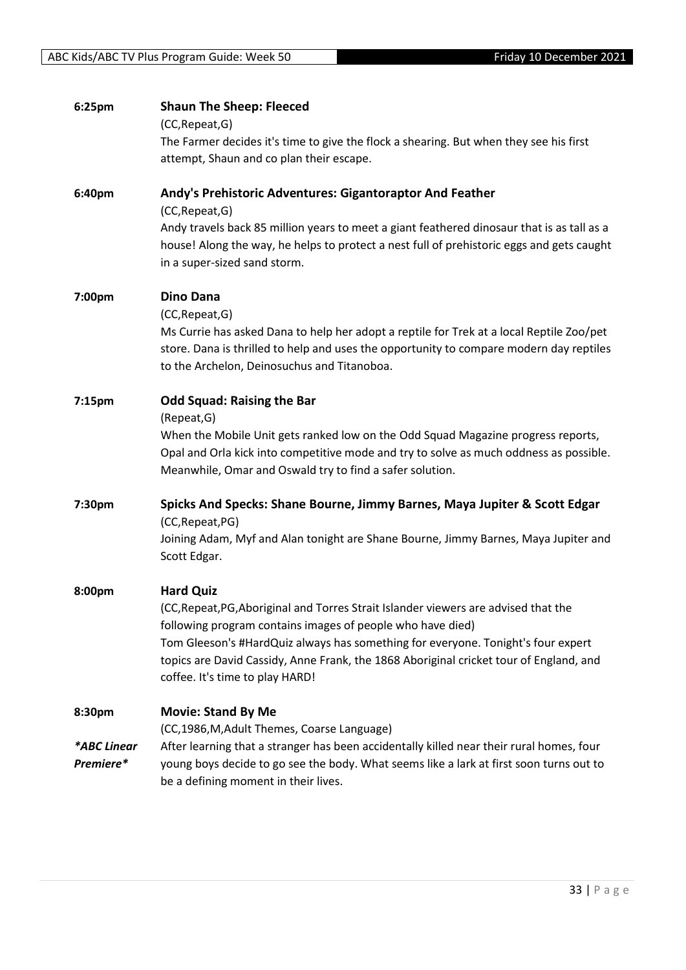| 6:25pm             | <b>Shaun The Sheep: Fleeced</b>                                                                                                                                                                                                                       |
|--------------------|-------------------------------------------------------------------------------------------------------------------------------------------------------------------------------------------------------------------------------------------------------|
|                    | (CC, Repeat, G)                                                                                                                                                                                                                                       |
|                    | The Farmer decides it's time to give the flock a shearing. But when they see his first                                                                                                                                                                |
|                    | attempt, Shaun and co plan their escape.                                                                                                                                                                                                              |
| 6:40pm             | Andy's Prehistoric Adventures: Gigantoraptor And Feather<br>(CC, Repeat, G)                                                                                                                                                                           |
|                    | Andy travels back 85 million years to meet a giant feathered dinosaur that is as tall as a<br>house! Along the way, he helps to protect a nest full of prehistoric eggs and gets caught<br>in a super-sized sand storm.                               |
| 7:00pm             | <b>Dino Dana</b>                                                                                                                                                                                                                                      |
|                    | (CC, Repeat, G)<br>Ms Currie has asked Dana to help her adopt a reptile for Trek at a local Reptile Zoo/pet<br>store. Dana is thrilled to help and uses the opportunity to compare modern day reptiles<br>to the Archelon, Deinosuchus and Titanoboa. |
| 7:15 <sub>pm</sub> | <b>Odd Squad: Raising the Bar</b>                                                                                                                                                                                                                     |
|                    | (Repeat, G)<br>When the Mobile Unit gets ranked low on the Odd Squad Magazine progress reports,<br>Opal and Orla kick into competitive mode and try to solve as much oddness as possible.<br>Meanwhile, Omar and Oswald try to find a safer solution. |
| 7:30pm             | Spicks And Specks: Shane Bourne, Jimmy Barnes, Maya Jupiter & Scott Edgar<br>(CC, Repeat, PG)                                                                                                                                                         |
|                    | Joining Adam, Myf and Alan tonight are Shane Bourne, Jimmy Barnes, Maya Jupiter and<br>Scott Edgar.                                                                                                                                                   |
| 8:00pm             | <b>Hard Quiz</b>                                                                                                                                                                                                                                      |
|                    | (CC, Repeat, PG, Aboriginal and Torres Strait Islander viewers are advised that the<br>following program contains images of people who have died)                                                                                                     |
|                    | Tom Gleeson's #HardQuiz always has something for everyone. Tonight's four expert<br>topics are David Cassidy, Anne Frank, the 1868 Aboriginal cricket tour of England, and<br>coffee. It's time to play HARD!                                         |
| 8:30pm             | <b>Movie: Stand By Me</b><br>(CC,1986, M, Adult Themes, Coarse Language)                                                                                                                                                                              |
| *ABC Linear        | After learning that a stranger has been accidentally killed near their rural homes, four                                                                                                                                                              |
| Premiere*          | young boys decide to go see the body. What seems like a lark at first soon turns out to<br>be a defining moment in their lives.                                                                                                                       |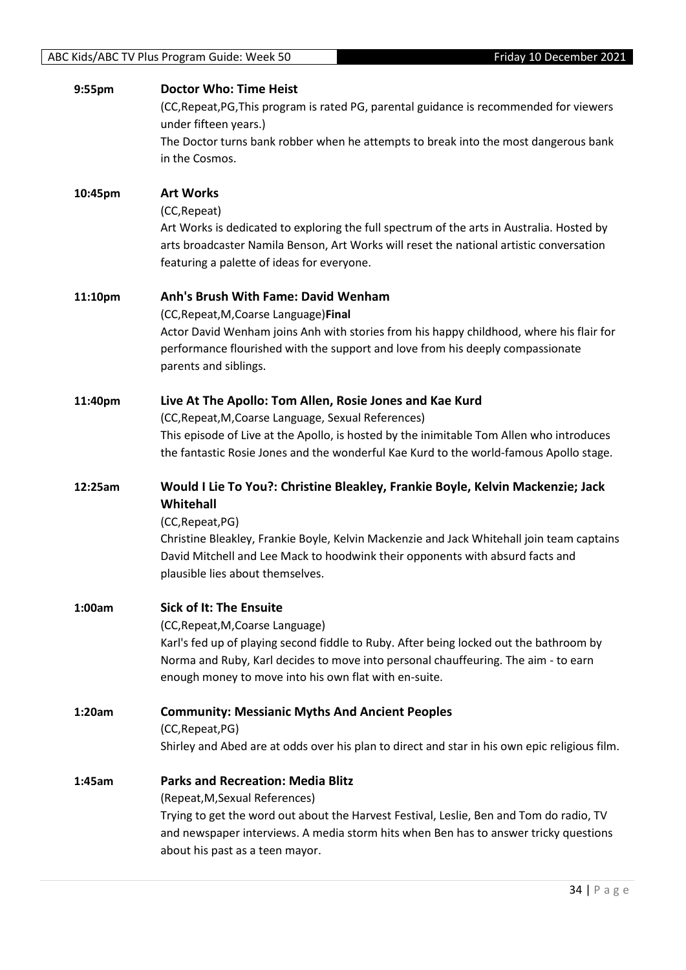| 9:55pm  | <b>Doctor Who: Time Heist</b><br>(CC, Repeat, PG, This program is rated PG, parental guidance is recommended for viewers<br>under fifteen years.)<br>The Doctor turns bank robber when he attempts to break into the most dangerous bank<br>in the Cosmos.                                                                        |
|---------|-----------------------------------------------------------------------------------------------------------------------------------------------------------------------------------------------------------------------------------------------------------------------------------------------------------------------------------|
| 10:45pm | <b>Art Works</b><br>(CC, Repeat)<br>Art Works is dedicated to exploring the full spectrum of the arts in Australia. Hosted by<br>arts broadcaster Namila Benson, Art Works will reset the national artistic conversation<br>featuring a palette of ideas for everyone.                                                            |
| 11:10pm | Anh's Brush With Fame: David Wenham<br>(CC, Repeat, M, Coarse Language) Final<br>Actor David Wenham joins Anh with stories from his happy childhood, where his flair for<br>performance flourished with the support and love from his deeply compassionate<br>parents and siblings.                                               |
| 11:40pm | Live At The Apollo: Tom Allen, Rosie Jones and Kae Kurd<br>(CC, Repeat, M, Coarse Language, Sexual References)<br>This episode of Live at the Apollo, is hosted by the inimitable Tom Allen who introduces<br>the fantastic Rosie Jones and the wonderful Kae Kurd to the world-famous Apollo stage.                              |
|         |                                                                                                                                                                                                                                                                                                                                   |
| 12:25am | Would I Lie To You?: Christine Bleakley, Frankie Boyle, Kelvin Mackenzie; Jack<br>Whitehall<br>(CC, Repeat, PG)<br>Christine Bleakley, Frankie Boyle, Kelvin Mackenzie and Jack Whitehall join team captains<br>David Mitchell and Lee Mack to hoodwink their opponents with absurd facts and<br>plausible lies about themselves. |
| 1:00am  | <b>Sick of It: The Ensuite</b><br>(CC, Repeat, M, Coarse Language)<br>Karl's fed up of playing second fiddle to Ruby. After being locked out the bathroom by<br>Norma and Ruby, Karl decides to move into personal chauffeuring. The aim - to earn<br>enough money to move into his own flat with en-suite.                       |
| 1:20am  | <b>Community: Messianic Myths And Ancient Peoples</b><br>(CC, Repeat, PG)<br>Shirley and Abed are at odds over his plan to direct and star in his own epic religious film.                                                                                                                                                        |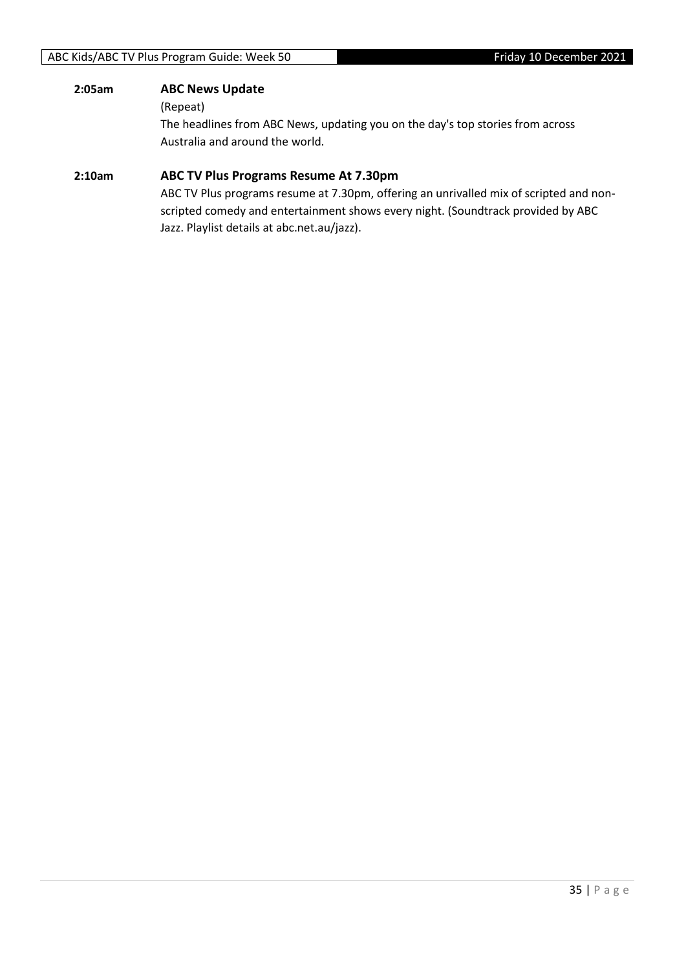#### **2:05am ABC News Update**

(Repeat)

The headlines from ABC News, updating you on the day's top stories from across Australia and around the world.

#### **2:10am ABC TV Plus Programs Resume At 7.30pm**

ABC TV Plus programs resume at 7.30pm, offering an unrivalled mix of scripted and nonscripted comedy and entertainment shows every night. (Soundtrack provided by ABC Jazz. Playlist details at abc.net.au/jazz).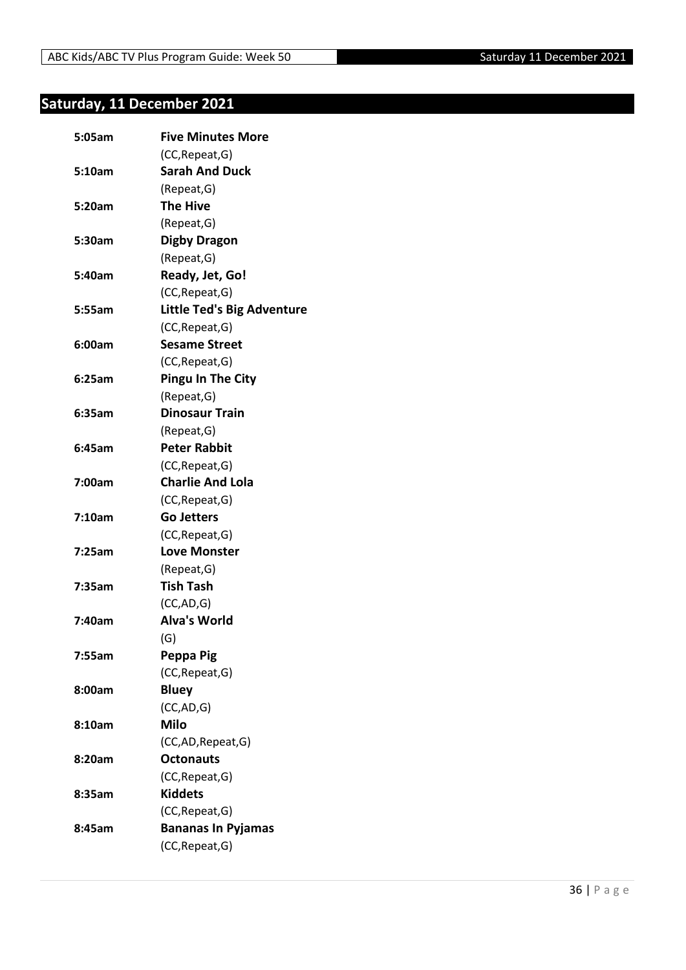## <span id="page-35-0"></span>**Saturday, 11 December 2021**

| 5:05am | <b>Five Minutes More</b>          |
|--------|-----------------------------------|
|        | (CC, Repeat, G)                   |
| 5:10am | <b>Sarah And Duck</b>             |
|        | (Repeat, G)                       |
| 5:20am | <b>The Hive</b>                   |
|        | (Repeat, G)                       |
| 5:30am | <b>Digby Dragon</b>               |
|        | (Repeat, G)                       |
| 5:40am | Ready, Jet, Go!                   |
|        | (CC, Repeat, G)                   |
| 5:55am | <b>Little Ted's Big Adventure</b> |
|        | (CC, Repeat, G)                   |
| 6:00am | <b>Sesame Street</b>              |
|        | (CC, Repeat, G)                   |
| 6:25am | <b>Pingu In The City</b>          |
|        | (Repeat, G)                       |
| 6:35am | <b>Dinosaur Train</b>             |
|        | (Repeat, G)                       |
| 6:45am | <b>Peter Rabbit</b>               |
|        | (CC, Repeat, G)                   |
| 7:00am | <b>Charlie And Lola</b>           |
|        | (CC, Repeat, G)                   |
| 7:10am | <b>Go Jetters</b>                 |
|        | (CC, Repeat, G)                   |
| 7:25am | <b>Love Monster</b>               |
|        | (Repeat, G)                       |
| 7:35am | <b>Tish Tash</b>                  |
|        | (CC, AD, G)                       |
| 7:40am | <b>Alva's World</b>               |
|        | (G)                               |
| 7:55am | Peppa Pig                         |
|        | (CC, Repeat, G)                   |
| 8:00am | <b>Bluey</b>                      |
|        | (CC,AD,G)                         |
| 8:10am | <b>Milo</b>                       |
|        | (CC,AD,Repeat,G)                  |
| 8:20am | <b>Octonauts</b>                  |
|        | (CC, Repeat, G)                   |
| 8:35am | <b>Kiddets</b>                    |
|        | (CC, Repeat, G)                   |
| 8:45am | <b>Bananas In Pyjamas</b>         |
|        | (CC, Repeat, G)                   |
|        |                                   |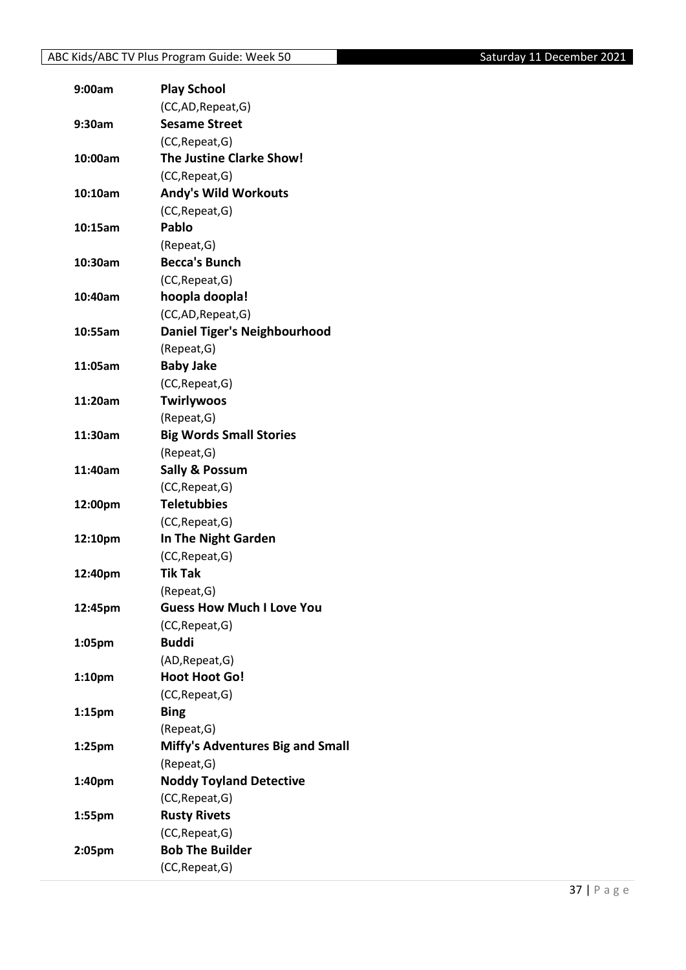| 9:00am             | <b>Play School</b>                      |
|--------------------|-----------------------------------------|
|                    | (CC,AD,Repeat,G)                        |
| 9:30am             | <b>Sesame Street</b>                    |
|                    | (CC, Repeat, G)                         |
| 10:00am            | The Justine Clarke Show!                |
|                    | (CC, Repeat, G)                         |
| 10:10am            | <b>Andy's Wild Workouts</b>             |
|                    | (CC, Repeat, G)                         |
| 10:15am            | Pablo                                   |
|                    | (Repeat, G)                             |
| 10:30am            | <b>Becca's Bunch</b>                    |
|                    | (CC, Repeat, G)                         |
| 10:40am            | hoopla doopla!                          |
|                    | (CC,AD,Repeat,G)                        |
| 10:55am            | <b>Daniel Tiger's Neighbourhood</b>     |
|                    | (Repeat, G)                             |
| 11:05am            | <b>Baby Jake</b>                        |
|                    | (CC, Repeat, G)                         |
| 11:20am            | <b>Twirlywoos</b>                       |
|                    | (Repeat, G)                             |
| 11:30am            | <b>Big Words Small Stories</b>          |
|                    | (Repeat, G)                             |
| 11:40am            | <b>Sally &amp; Possum</b>               |
|                    | (CC, Repeat, G)                         |
| 12:00pm            | <b>Teletubbies</b>                      |
|                    | (CC, Repeat, G)                         |
| 12:10pm            | In The Night Garden                     |
|                    | (CC, Repeat, G)                         |
| 12:40pm            | <b>Tik Tak</b>                          |
|                    | (Repeat,G)                              |
| 12:45pm            | <b>Guess How Much I Love You</b>        |
|                    | (CC, Repeat, G)                         |
| 1:05pm             | <b>Buddi</b>                            |
|                    | (AD, Repeat, G)                         |
| 1:10 <sub>pm</sub> | <b>Hoot Hoot Go!</b>                    |
|                    | (CC, Repeat, G)                         |
| $1:15$ pm          | <b>Bing</b>                             |
|                    | (Repeat, G)                             |
| 1:25 <sub>pm</sub> | <b>Miffy's Adventures Big and Small</b> |
|                    | (Repeat, G)                             |
| 1:40pm             | <b>Noddy Toyland Detective</b>          |
|                    | (CC, Repeat, G)                         |
| 1:55pm             | <b>Rusty Rivets</b>                     |
|                    | (CC, Repeat, G)                         |
| 2:05pm             | <b>Bob The Builder</b>                  |
|                    | (CC, Repeat, G)                         |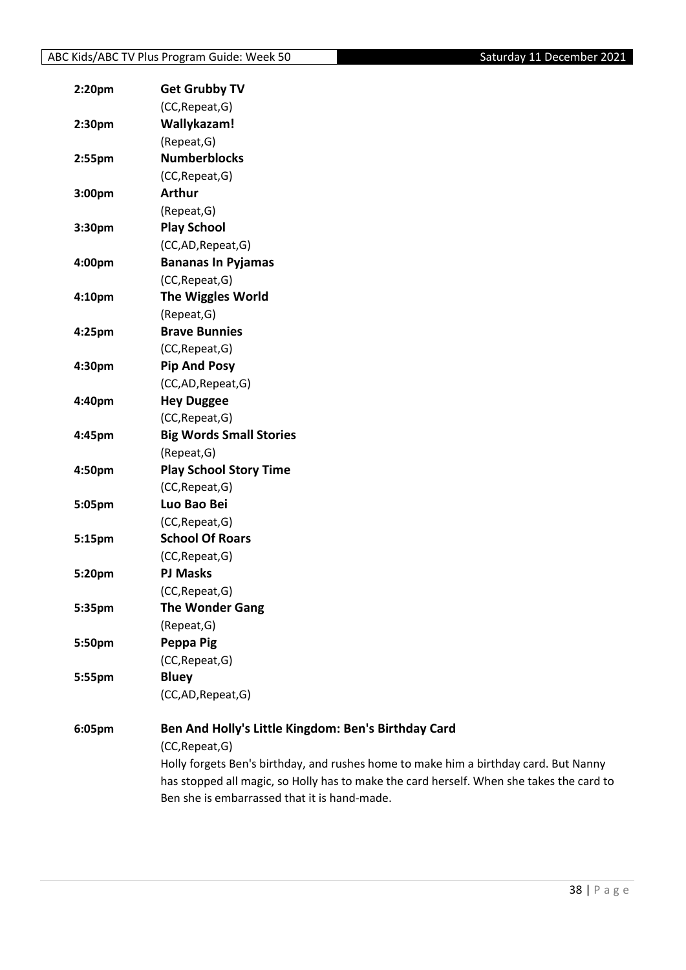| 2:20pm | <b>Get Grubby TV</b>                                                                     |
|--------|------------------------------------------------------------------------------------------|
|        | (CC, Repeat, G)                                                                          |
| 2:30pm | Wallykazam!                                                                              |
|        | (Repeat, G)                                                                              |
| 2:55pm | <b>Numberblocks</b>                                                                      |
|        | (CC, Repeat, G)                                                                          |
| 3:00pm | <b>Arthur</b>                                                                            |
|        | (Repeat, G)                                                                              |
| 3:30pm | <b>Play School</b>                                                                       |
|        | (CC,AD,Repeat,G)                                                                         |
| 4:00pm | <b>Bananas In Pyjamas</b>                                                                |
|        | (CC, Repeat, G)                                                                          |
| 4:10pm | <b>The Wiggles World</b>                                                                 |
|        | (Repeat, G)                                                                              |
| 4:25pm | <b>Brave Bunnies</b>                                                                     |
|        | (CC, Repeat, G)                                                                          |
| 4:30pm | <b>Pip And Posy</b>                                                                      |
|        | (CC,AD,Repeat,G)                                                                         |
| 4:40pm | <b>Hey Duggee</b>                                                                        |
|        | (CC, Repeat, G)                                                                          |
| 4:45pm | <b>Big Words Small Stories</b>                                                           |
|        | (Repeat, G)                                                                              |
| 4:50pm | <b>Play School Story Time</b>                                                            |
|        | (CC, Repeat, G)                                                                          |
| 5:05pm | Luo Bao Bei                                                                              |
|        | (CC, Repeat, G)                                                                          |
| 5:15pm | <b>School Of Roars</b>                                                                   |
|        | (CC, Repeat, G)                                                                          |
| 5:20pm | <b>PJ Masks</b>                                                                          |
|        | (CC, Repeat, G)                                                                          |
| 5:35pm | <b>The Wonder Gang</b>                                                                   |
|        | (Repeat, G)                                                                              |
| 5:50pm | Peppa Pig                                                                                |
|        | (CC, Repeat, G)                                                                          |
| 5:55pm | <b>Bluey</b>                                                                             |
|        | (CC,AD,Repeat,G)                                                                         |
| 6:05pm | Ben And Holly's Little Kingdom: Ben's Birthday Card                                      |
|        | (CC, Repeat, G)                                                                          |
|        | Holly forgets Ben's birthday, and rushes home to make him a birthday card. But Nanny     |
|        | has stopped all magic, so Holly has to make the card herself. When she takes the card to |

Ben she is embarrassed that it is hand-made.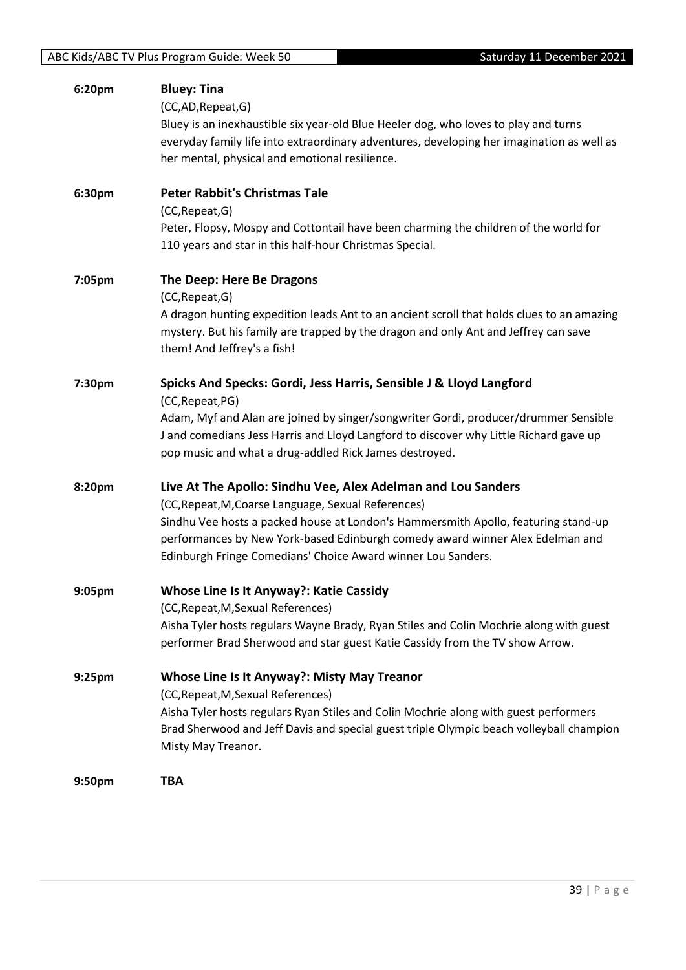| 6:20pm             | <b>Bluey: Tina</b>                                                                        |
|--------------------|-------------------------------------------------------------------------------------------|
|                    | (CC,AD,Repeat,G)                                                                          |
|                    | Bluey is an inexhaustible six year-old Blue Heeler dog, who loves to play and turns       |
|                    | everyday family life into extraordinary adventures, developing her imagination as well as |
|                    | her mental, physical and emotional resilience.                                            |
| 6:30pm             | <b>Peter Rabbit's Christmas Tale</b>                                                      |
|                    | (CC, Repeat, G)                                                                           |
|                    | Peter, Flopsy, Mospy and Cottontail have been charming the children of the world for      |
|                    | 110 years and star in this half-hour Christmas Special.                                   |
| 7:05pm             | The Deep: Here Be Dragons                                                                 |
|                    | (CC, Repeat, G)                                                                           |
|                    | A dragon hunting expedition leads Ant to an ancient scroll that holds clues to an amazing |
|                    | mystery. But his family are trapped by the dragon and only Ant and Jeffrey can save       |
|                    | them! And Jeffrey's a fish!                                                               |
| 7:30pm             | Spicks And Specks: Gordi, Jess Harris, Sensible J & Lloyd Langford                        |
|                    | (CC, Repeat, PG)                                                                          |
|                    | Adam, Myf and Alan are joined by singer/songwriter Gordi, producer/drummer Sensible       |
|                    | J and comedians Jess Harris and Lloyd Langford to discover why Little Richard gave up     |
|                    | pop music and what a drug-addled Rick James destroyed.                                    |
| 8:20pm             | Live At The Apollo: Sindhu Vee, Alex Adelman and Lou Sanders                              |
|                    | (CC, Repeat, M, Coarse Language, Sexual References)                                       |
|                    | Sindhu Vee hosts a packed house at London's Hammersmith Apollo, featuring stand-up        |
|                    | performances by New York-based Edinburgh comedy award winner Alex Edelman and             |
|                    | Edinburgh Fringe Comedians' Choice Award winner Lou Sanders.                              |
| 9:05 <sub>pm</sub> | Whose Line Is It Anyway?: Katie Cassidy                                                   |
|                    | (CC, Repeat, M, Sexual References)                                                        |
|                    | Aisha Tyler hosts regulars Wayne Brady, Ryan Stiles and Colin Mochrie along with guest    |
|                    | performer Brad Sherwood and star guest Katie Cassidy from the TV show Arrow.              |
| 9:25pm             | <b>Whose Line Is It Anyway?: Misty May Treanor</b>                                        |
|                    | (CC, Repeat, M, Sexual References)                                                        |
|                    | Aisha Tyler hosts regulars Ryan Stiles and Colin Mochrie along with guest performers      |
|                    | Brad Sherwood and Jeff Davis and special guest triple Olympic beach volleyball champion   |
|                    | Misty May Treanor.                                                                        |
| 9:50pm             | <b>TBA</b>                                                                                |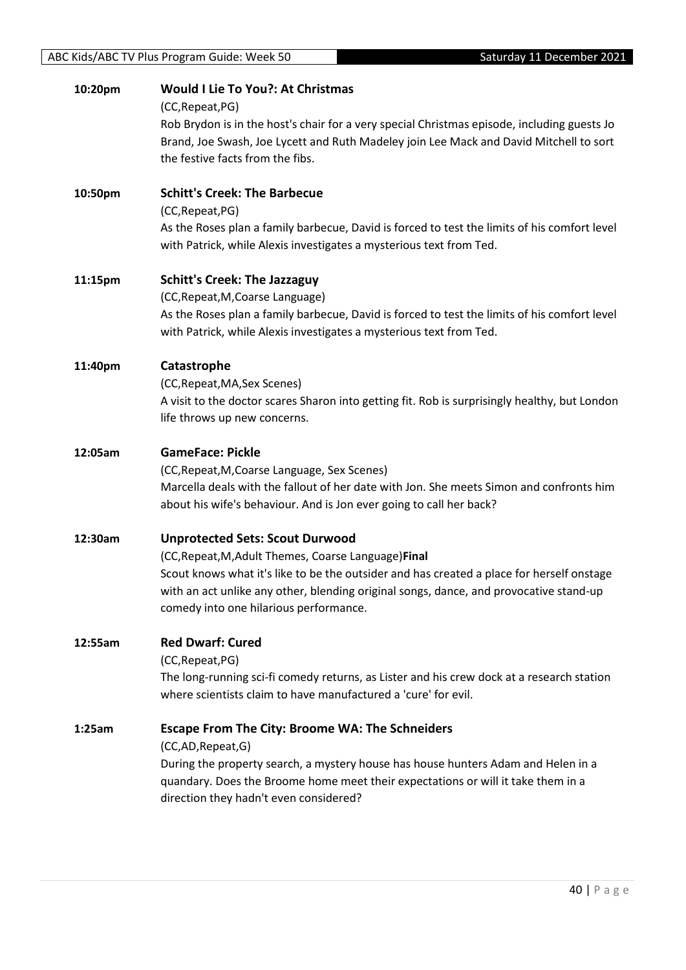#### **10:20pm Would I Lie To You?: At Christmas**

(CC,Repeat,PG)

Rob Brydon is in the host's chair for a very special Christmas episode, including guests Jo Brand, Joe Swash, Joe Lycett and Ruth Madeley join Lee Mack and David Mitchell to sort the festive facts from the fibs.

**10:50pm Schitt's Creek: The Barbecue** (CC,Repeat,PG) As the Roses plan a family barbecue, David is forced to test the limits of his comfort level with Patrick, while Alexis investigates a mysterious text from Ted.

#### **11:15pm Schitt's Creek: The Jazzaguy**

(CC,Repeat,M,Coarse Language) As the Roses plan a family barbecue, David is forced to test the limits of his comfort level with Patrick, while Alexis investigates a mysterious text from Ted.

#### **11:40pm Catastrophe**

(CC,Repeat,MA,Sex Scenes) A visit to the doctor scares Sharon into getting fit. Rob is surprisingly healthy, but London

life throws up new concerns.

#### **12:05am GameFace: Pickle**

(CC,Repeat,M,Coarse Language, Sex Scenes) Marcella deals with the fallout of her date with Jon. She meets Simon and confronts him about his wife's behaviour. And is Jon ever going to call her back?

#### **12:30am Unprotected Sets: Scout Durwood**

(CC,Repeat,M,Adult Themes, Coarse Language)**Final** Scout knows what it's like to be the outsider and has created a place for herself onstage with an act unlike any other, blending original songs, dance, and provocative stand-up comedy into one hilarious performance.

#### **12:55am Red Dwarf: Cured**

(CC,Repeat,PG)

The long-running sci-fi comedy returns, as Lister and his crew dock at a research station where scientists claim to have manufactured a 'cure' for evil.

#### **1:25am Escape From The City: Broome WA: The Schneiders**

(CC,AD,Repeat,G)

During the property search, a mystery house has house hunters Adam and Helen in a quandary. Does the Broome home meet their expectations or will it take them in a direction they hadn't even considered?